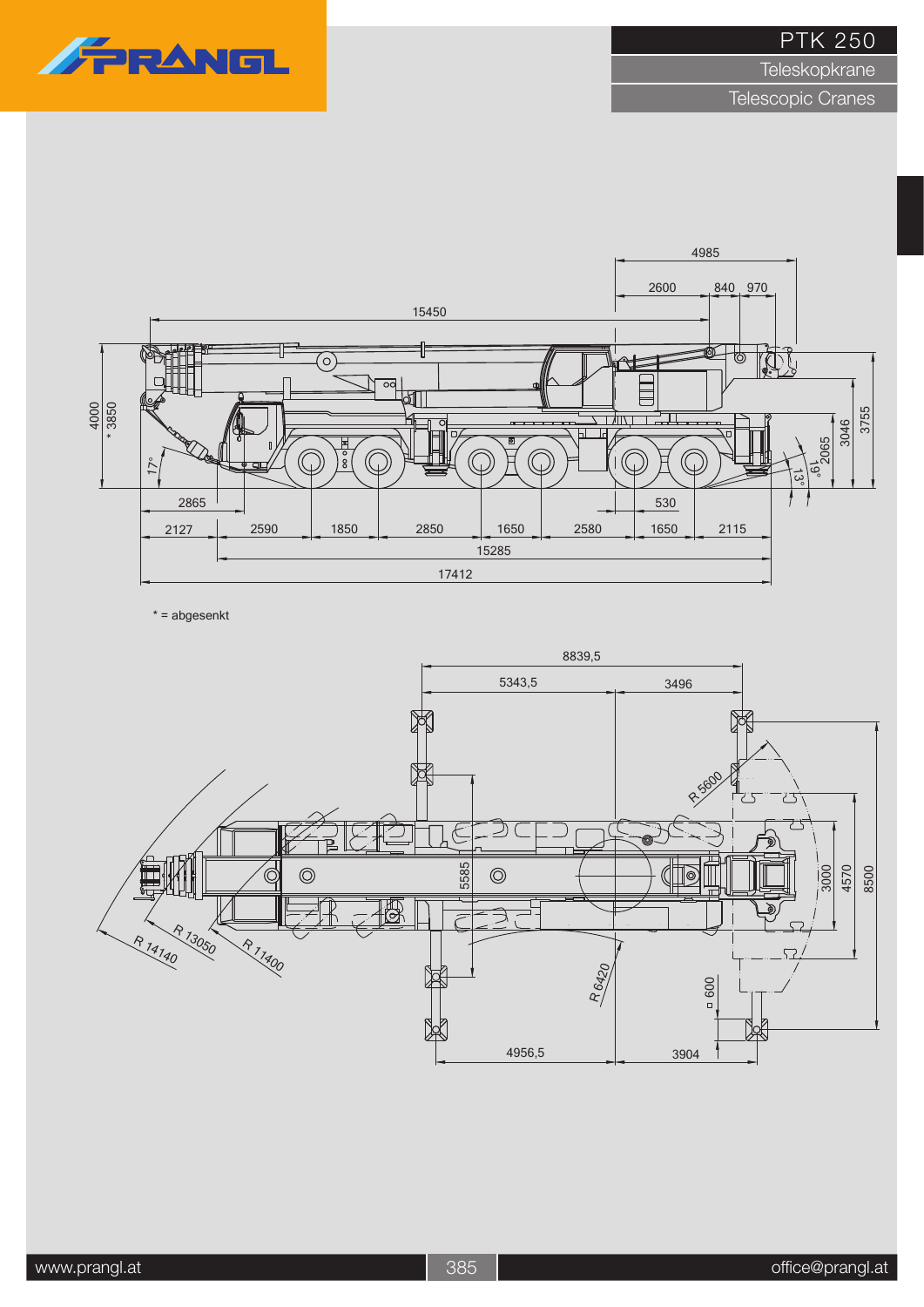# FRANG

PTK 250

**Teleskopkrane** 

Telescopic Cranes



\* = abgesenkt

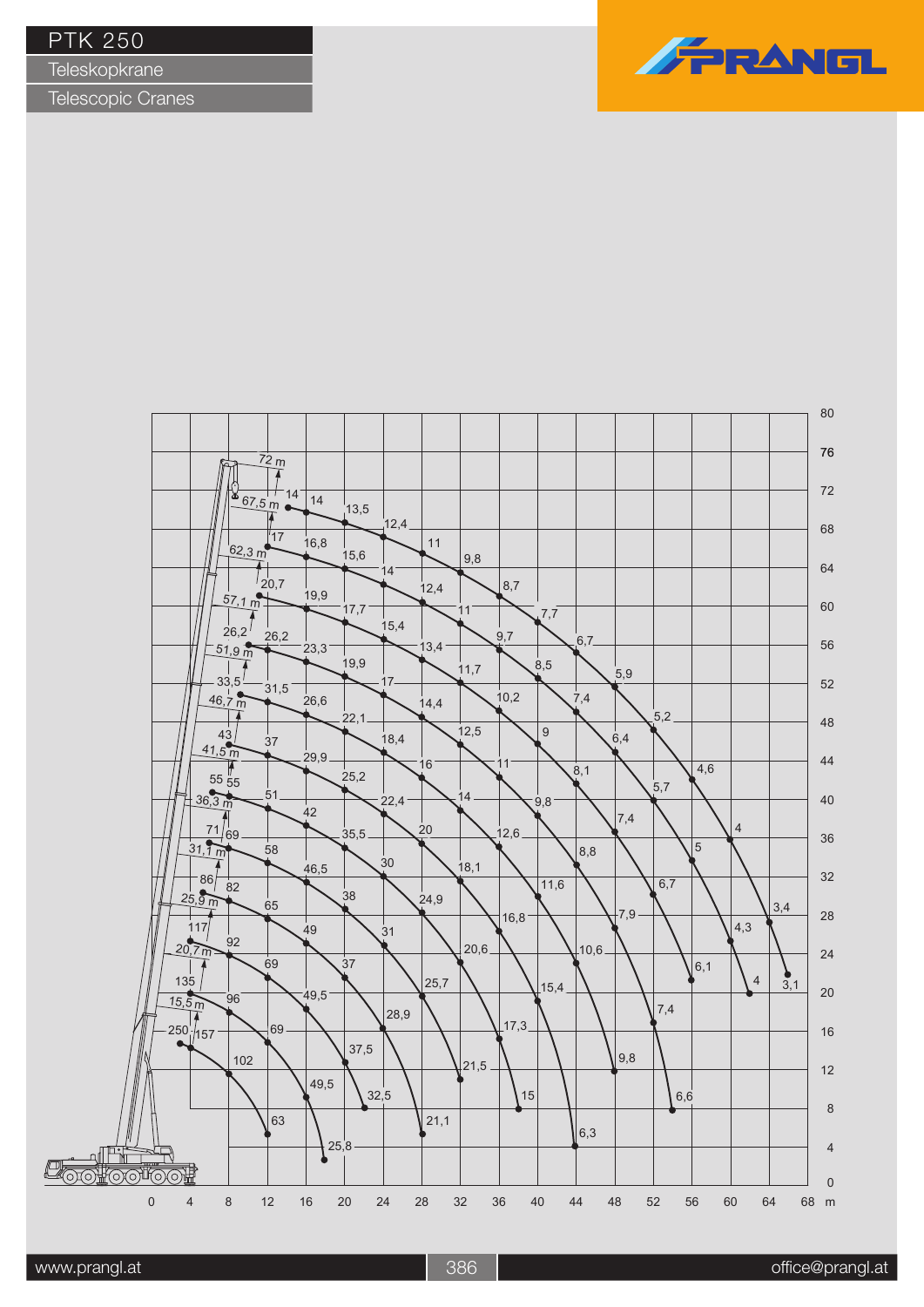**Teleskopkrane** 



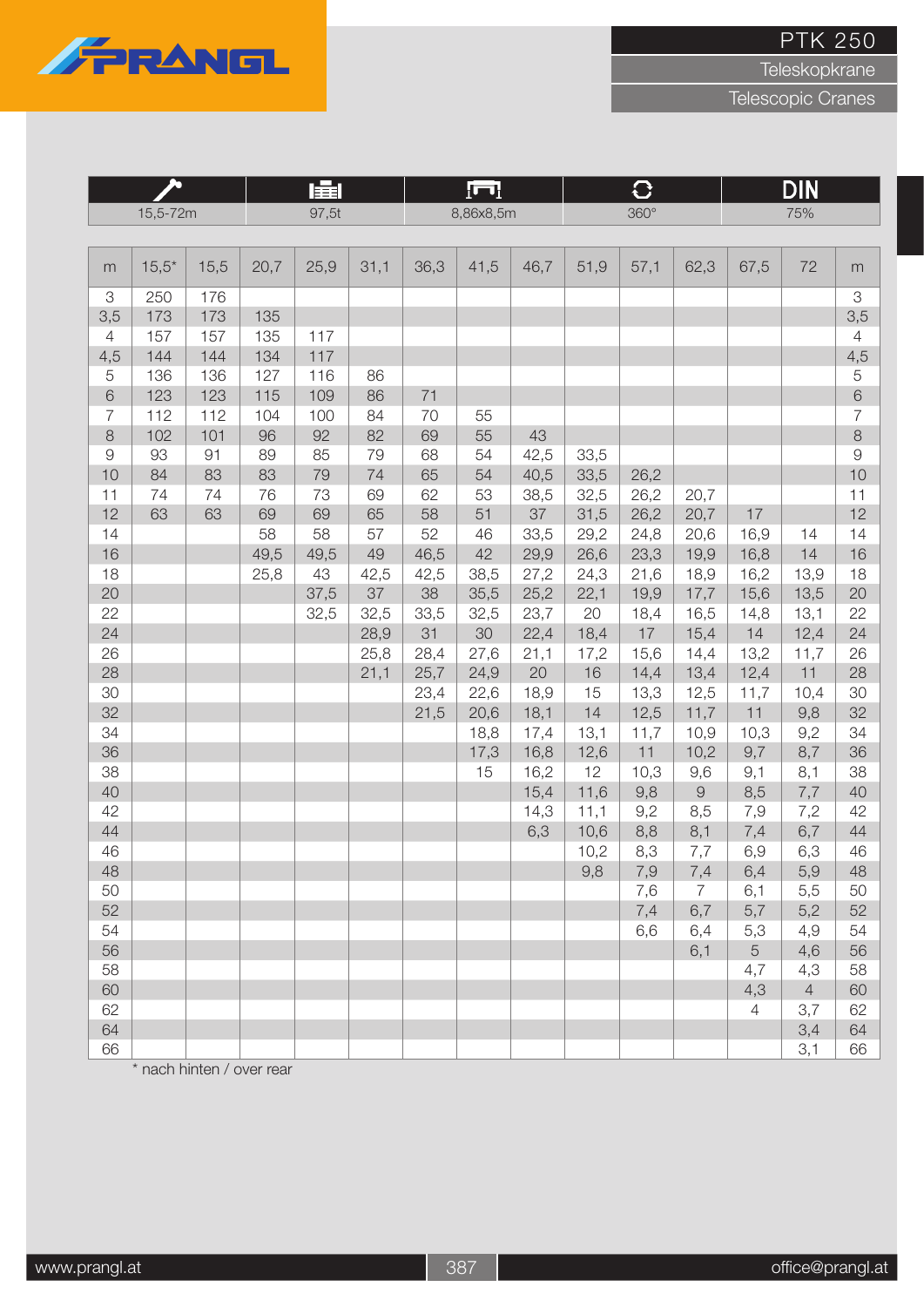

**Teleskopkrane** 

Telescopic Cranes

|                |          |      |      | 肁<br>97,5t |      |      | $\Box$    |      |      | $\mathbf{C}$ |                |                | <b>DIN</b>     |                |
|----------------|----------|------|------|------------|------|------|-----------|------|------|--------------|----------------|----------------|----------------|----------------|
|                | 15,5-72m |      |      |            |      |      | 8,86x8,5m |      |      | $360^\circ$  |                |                | 75%            |                |
|                |          |      |      |            |      |      |           |      |      |              |                |                |                |                |
| m              | $15,5*$  | 15,5 | 20,7 | 25,9       | 31,1 | 36,3 | 41,5      | 46,7 | 51,9 | 57,1         | 62,3           | 67,5           | 72             | m              |
| 3              | 250      | 176  |      |            |      |      |           |      |      |              |                |                |                | 3              |
| 3,5            | 173      | 173  | 135  |            |      |      |           |      |      |              |                |                |                | 3,5            |
| 4              | 157      | 157  | 135  | 117        |      |      |           |      |      |              |                |                |                | $\overline{4}$ |
| 4,5            | 144      | 144  | 134  | 117        |      |      |           |      |      |              |                |                |                | 4,5            |
| 5              | 136      | 136  | 127  | 116        | 86   |      |           |      |      |              |                |                |                | $\mathbf 5$    |
| 6              | 123      | 123  | 115  | 109        | 86   | 71   |           |      |      |              |                |                |                | $\,$ $\,$ $\,$ |
| $\overline{7}$ | 112      | 112  | 104  | 100        | 84   | 70   | 55        |      |      |              |                |                |                | $\overline{7}$ |
| $\,8\,$        | 102      | 101  | 96   | 92         | 82   | 69   | 55        | 43   |      |              |                |                |                | $\,8\,$        |
| $\Theta$       | 93       | 91   | 89   | 85         | 79   | 68   | 54        | 42,5 | 33,5 |              |                |                |                | $\Theta$       |
| 10             | 84       | 83   | 83   | 79         | 74   | 65   | 54        | 40,5 | 33,5 | 26,2         |                |                |                | 10             |
| 11             | 74       | 74   | 76   | 73         | 69   | 62   | 53        | 38,5 | 32,5 | 26,2         | 20,7           |                |                | 11             |
| 12             | 63       | 63   | 69   | 69         | 65   | 58   | 51        | 37   | 31,5 | 26,2         | 20,7           | 17             |                | 12             |
| 14             |          |      | 58   | 58         | 57   | 52   | 46        | 33,5 | 29,2 | 24,8         | 20,6           | 16,9           | 14             | 14             |
| 16             |          |      | 49,5 | 49,5       | 49   | 46,5 | 42        | 29,9 | 26,6 | 23,3         | 19,9           | 16,8           | 14             | 16             |
| 18             |          |      | 25,8 | 43         | 42,5 | 42,5 | 38,5      | 27,2 | 24,3 | 21,6         | 18,9           | 16,2           | 13,9           | 18             |
| 20             |          |      |      | 37,5       | 37   | 38   | 35,5      | 25,2 | 22,1 | 19,9         | 17,7           | 15,6           | 13,5           | 20             |
| 22             |          |      |      | 32,5       | 32,5 | 33,5 | 32,5      | 23,7 | 20   | 18,4         | 16,5           | 14,8           | 13,1           | 22             |
| 24             |          |      |      |            | 28,9 | 31   | 30        | 22,4 | 18,4 | 17           | 15,4           | 14             | 12,4           | 24             |
| 26             |          |      |      |            | 25,8 | 28,4 | 27,6      | 21,1 | 17,2 | 15,6         | 14,4           | 13,2           | 11,7           | 26             |
| 28             |          |      |      |            | 21,1 | 25,7 | 24,9      | 20   | 16   | 14,4         | 13,4           | 12,4           | 11             | 28             |
| 30             |          |      |      |            |      | 23,4 | 22,6      | 18,9 | 15   | 13,3         | 12,5           | 11,7           | 10,4           | 30             |
| 32             |          |      |      |            |      | 21,5 | 20,6      | 18,1 | 14   | 12,5         | 11,7           | 11             | 9,8            | 32             |
| 34             |          |      |      |            |      |      | 18,8      | 17,4 | 13,1 | 11,7         | 10,9           | 10,3           | 9,2            | 34             |
| 36             |          |      |      |            |      |      | 17,3      | 16,8 | 12,6 | 11           | 10,2           | 9,7            | 8,7            | 36             |
| 38             |          |      |      |            |      |      | 15        | 16,2 | 12   | 10,3         | 9,6            | 9,1            | 8,1            | 38             |
| 40             |          |      |      |            |      |      |           | 15,4 | 11,6 | 9,8          | $\hbox{9}$     | 8,5            | 7,7            | 40             |
| 42             |          |      |      |            |      |      |           | 14,3 | 11,1 | 9,2          | 8,5            | 7,9            | 7,2            | 42             |
| 44             |          |      |      |            |      |      |           | 6,3  | 10,6 | 8,8          | 8,1            | 7,4            | 6,7            | 44             |
| 46             |          |      |      |            |      |      |           |      | 10,2 | 8,3          | 7,7            | 6,9            | 6,3            | 46             |
| 48             |          |      |      |            |      |      |           |      | 9,8  | $7,9$        | 7,4            | 6,4            | 5,9            | 48             |
| 50             |          |      |      |            |      |      |           |      |      | 7,6          | $\overline{7}$ | 6,1            | 5,5            | 50             |
| 52             |          |      |      |            |      |      |           |      |      | 7,4          | 6,7            | 5,7            | 5,2            | 52             |
| 54             |          |      |      |            |      |      |           |      |      | 6,6          | 6,4            | 5,3            | 4,9            | 54             |
| 56             |          |      |      |            |      |      |           |      |      |              | 6,1            | 5              | 4,6            | 56             |
| 58             |          |      |      |            |      |      |           |      |      |              |                | 4,7            | 4,3            | 58             |
| 60             |          |      |      |            |      |      |           |      |      |              |                | 4,3            | $\overline{4}$ | 60             |
| 62             |          |      |      |            |      |      |           |      |      |              |                | $\overline{4}$ | 3,7            | 62             |
| 64             |          |      |      |            |      |      |           |      |      |              |                |                | 3,4            | 64             |
| 66             |          |      |      |            |      |      |           |      |      |              |                |                | 3,1            | 66             |

\* nach hinten / over rear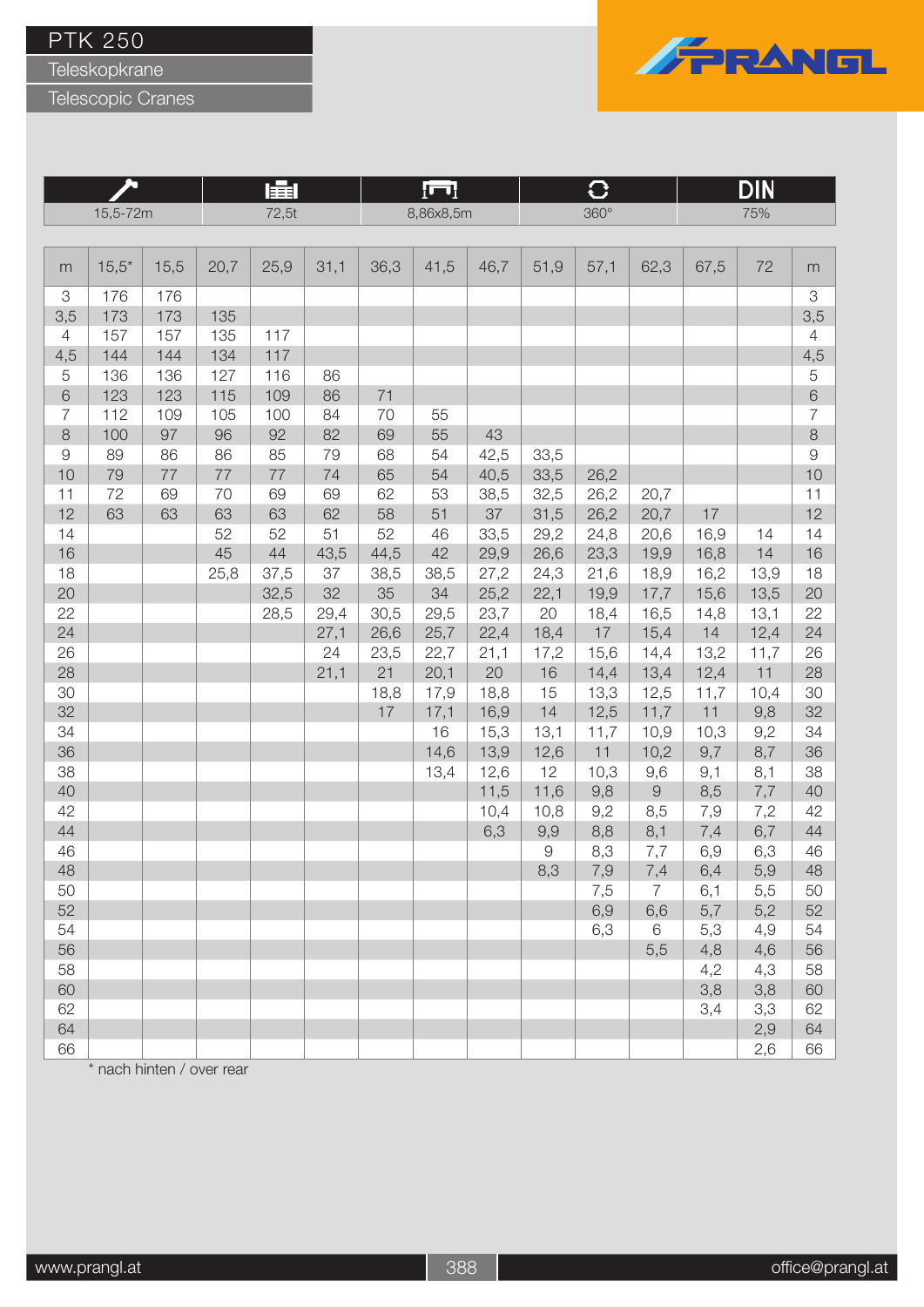Teleskopkrane

Telescopic Cranes



|                |          |      |      | 肁     |      |      | łш        |      |                   | $\mathbf C$ |                |            | DIN        |                           |
|----------------|----------|------|------|-------|------|------|-----------|------|-------------------|-------------|----------------|------------|------------|---------------------------|
|                | 15,5-72m |      |      | 72,5t |      |      | 8,86x8,5m |      |                   | 360°        |                |            | 75%        |                           |
|                |          |      |      |       |      |      |           |      |                   |             |                |            |            |                           |
| m              | $15,5*$  | 15,5 | 20,7 | 25,9  | 31,1 | 36,3 | 41,5      | 46,7 | 51,9              | 57,1        | 62,3           | 67,5       | 72         | m                         |
| $\mbox{3}$     | 176      | 176  |      |       |      |      |           |      |                   |             |                |            |            | $\ensuremath{\mathsf{3}}$ |
| 3,5            | 173      | 173  | 135  |       |      |      |           |      |                   |             |                |            |            | 3,5                       |
| $\overline{4}$ | 157      | 157  | 135  | 117   |      |      |           |      |                   |             |                |            |            | $\overline{4}$            |
| 4,5            | 144      | 144  | 134  | 117   |      |      |           |      |                   |             |                |            |            | 4,5                       |
| $\mathbf 5$    | 136      | 136  | 127  | 116   | 86   |      |           |      |                   |             |                |            |            | $\mathbf 5$               |
| $\,$ 6 $\,$    | 123      | 123  | 115  | 109   | 86   | 71   |           |      |                   |             |                |            |            | $6\,$                     |
| $\overline{7}$ | 112      | 109  | 105  | 100   | 84   | 70   | 55        |      |                   |             |                |            |            | $\overline{7}$            |
| $\,8\,$        | 100      | 97   | 96   | 92    | 82   | 69   | 55        | 43   |                   |             |                |            |            | $\,8\,$                   |
| $\Theta$       | 89       | 86   | 86   | 85    | 79   | 68   | 54        | 42,5 | 33,5              |             |                |            |            | $\Theta$                  |
| 10             | 79       | 77   | 77   | 77    | 74   | 65   | 54        | 40,5 | 33,5              | 26,2        |                |            |            | 10                        |
| 11             | 72       | 69   | 70   | 69    | 69   | 62   | 53        | 38,5 | 32,5              | 26,2        | 20,7           |            |            | 11                        |
| 12             | 63       | 63   | 63   | 63    | 62   | 58   | 51        | 37   | 31,5              | 26,2        | 20,7           | 17         |            | 12                        |
| 14             |          |      | 52   | 52    | 51   | 52   | 46        | 33,5 | 29,2              | 24,8        | 20,6           | 16,9       | 14         | 14                        |
| 16             |          |      | 45   | 44    | 43,5 | 44,5 | 42        | 29,9 | 26,6              | 23,3        | 19,9           | 16,8       | 14         | 16                        |
| 18             |          |      | 25,8 | 37,5  | 37   | 38,5 | 38,5      | 27,2 | 24,3              | 21,6        | 18,9           | 16,2       | 13,9       | 18                        |
| 20             |          |      |      | 32,5  | 32   | 35   | 34        | 25,2 | 22,1              | 19,9        | 17,7           | 15,6       | 13,5       | 20                        |
| 22             |          |      |      | 28,5  | 29,4 | 30,5 | 29,5      | 23,7 | 20                | 18,4        | 16,5           | 14,8       | 13,1       | 22                        |
| 24             |          |      |      |       | 27,1 | 26,6 | 25,7      | 22,4 | 18,4              | 17          | 15,4           | 14         | 12,4       | 24                        |
| 26             |          |      |      |       | 24   | 23,5 | 22,7      | 21,1 | 17,2              | 15,6        | 14,4           | 13,2       | 11,7       | 26                        |
| 28             |          |      |      |       | 21,1 | 21   | 20,1      | 20   | 16                | 14,4        | 13,4           | 12,4       | 11         | 28                        |
| 30             |          |      |      |       |      | 18,8 | 17,9      | 18,8 | 15                | 13,3        | 12,5           | 11,7       | 10,4       | 30                        |
| 32             |          |      |      |       |      | 17   | 17,1      | 16,9 | 14                | 12,5        | 11,7           | 11         | 9,8        | 32                        |
| 34             |          |      |      |       |      |      | 16        | 15,3 | 13,1              | 11,7        | 10,9           | 10,3       | 9,2        | 34                        |
| 36             |          |      |      |       |      |      | 14,6      | 13,9 | 12,6              | 11          | 10,2           | 9,7        | 8,7        | 36                        |
| 38             |          |      |      |       |      |      | 13,4      | 12,6 | 12                | 10,3        | 9,6            | 9,1        | 8,1        | 38                        |
| 40             |          |      |      |       |      |      |           | 11,5 | 11,6              | 9,8         | $\Theta$       | 8,5        | 7,7        | 40                        |
| 42             |          |      |      |       |      |      |           | 10,4 | 10,8              | 9,2         | 8,5            | 7,9        | 7,2        | 42                        |
| 44             |          |      |      |       |      |      |           | 6,3  | 9,9               | 8,8         | 8,1            | 7,4        | 6,7        | 44                        |
| 46<br>48       |          |      |      |       |      |      |           |      | $\hbox{9}$<br>8,3 | 8,3         | 7,7            | 6,9        | 6,3        | 46<br>48                  |
|                |          |      |      |       |      |      |           |      |                   | 7,9         | 7,4            | 6,4        | 5,9        |                           |
| 50<br>52       |          |      |      |       |      |      |           |      |                   | 7,5         | $\overline{7}$ | 6,1        | 5,5        | 50<br>52                  |
| 54             |          |      |      |       |      |      |           |      |                   | 6,9<br>6,3  | 6,6<br>6       | 5,7        | 5,2        | 54                        |
| 56             |          |      |      |       |      |      |           |      |                   |             | 5,5            | 5,3<br>4,8 | 4,9<br>4,6 | 56                        |
| 58             |          |      |      |       |      |      |           |      |                   |             |                | 4,2        | 4,3        | 58                        |
| 60             |          |      |      |       |      |      |           |      |                   |             |                | 3,8        | 3,8        | 60                        |
| 62             |          |      |      |       |      |      |           |      |                   |             |                | 3,4        | 3,3        | 62                        |
| 64             |          |      |      |       |      |      |           |      |                   |             |                |            | 2,9        | 64                        |
| 66             |          |      |      |       |      |      |           |      |                   |             |                |            | 2,6        | 66                        |

\* nach hinten / over rear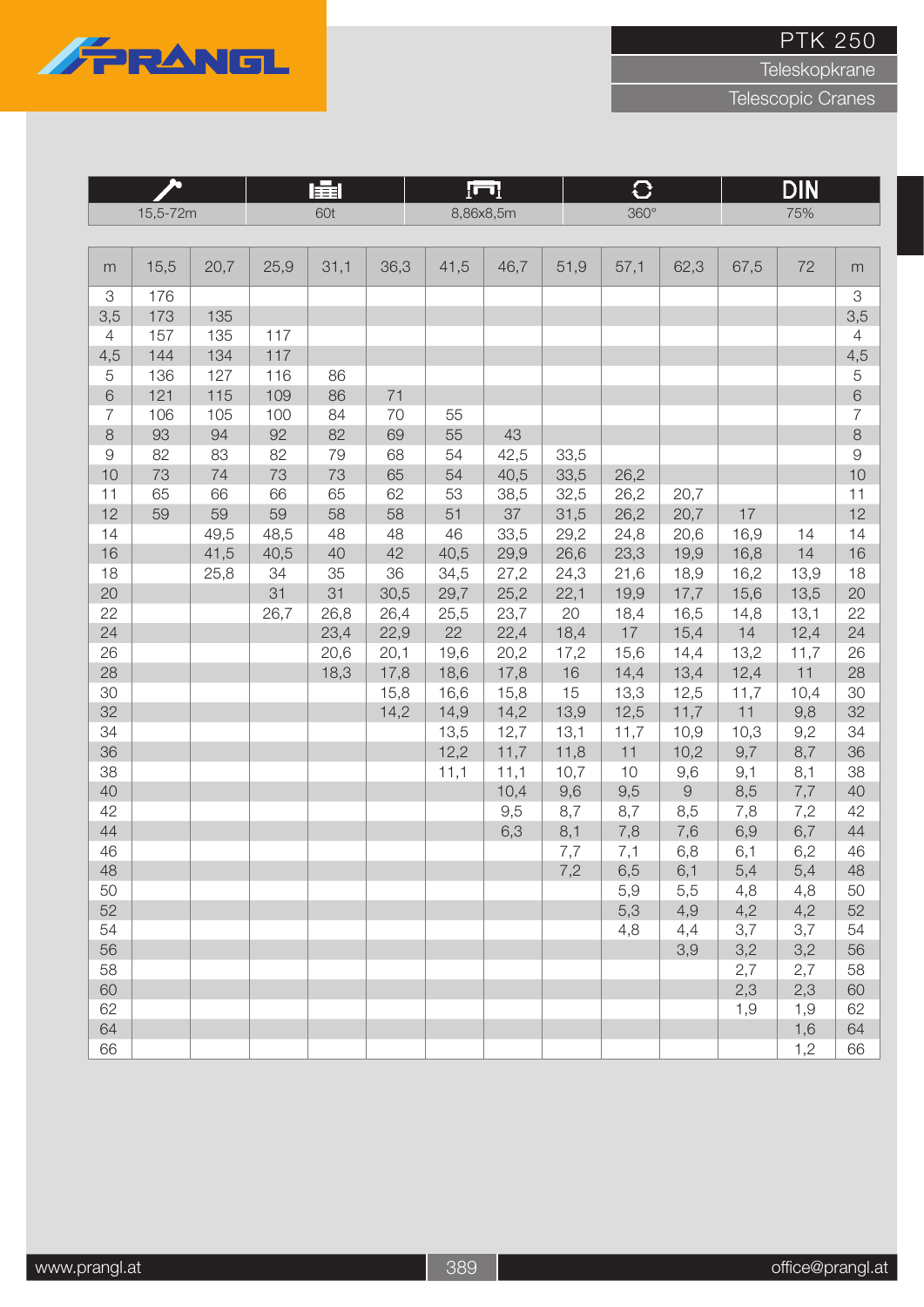

Teleskopkrane

|                |          |      |      | 肁l   |      |      | $\Box$    |      | $\mathbf{C}$ |            |            | <b>DIN</b> |                           |
|----------------|----------|------|------|------|------|------|-----------|------|--------------|------------|------------|------------|---------------------------|
|                | 15,5-72m |      |      | 60t  |      |      | 8,86x8,5m |      | $360^\circ$  |            |            | 75%        |                           |
|                |          |      |      |      |      |      |           |      |              |            |            |            |                           |
| m              | 15,5     | 20,7 | 25,9 | 31,1 | 36,3 | 41,5 | 46,7      | 51,9 | 57,1         | 62,3       | 67,5       | 72         | m                         |
| 3              | 176      |      |      |      |      |      |           |      |              |            |            |            | $\ensuremath{\mathsf{3}}$ |
| 3,5            | 173      | 135  |      |      |      |      |           |      |              |            |            |            | 3,5                       |
| 4              | 157      | 135  | 117  |      |      |      |           |      |              |            |            |            | $\overline{4}$            |
| 4,5            | 144      | 134  | 117  |      |      |      |           |      |              |            |            |            | 4,5                       |
| 5              | 136      | 127  | 116  | 86   |      |      |           |      |              |            |            |            | $\overline{5}$            |
| 6              | 121      | 115  | 109  | 86   | 71   |      |           |      |              |            |            |            | $6\,$                     |
| $\overline{7}$ | 106      | 105  | 100  | 84   | 70   | 55   |           |      |              |            |            |            | $\overline{7}$            |
| $\,8\,$        | 93       | 94   | 92   | 82   | 69   | 55   | 43        |      |              |            |            |            | $\,8\,$                   |
| $\hbox{9}$     | 82       | 83   | 82   | 79   | 68   | 54   | 42,5      | 33,5 |              |            |            |            | $\Theta$                  |
| 10             | 73       | 74   | 73   | 73   | 65   | 54   | 40,5      | 33,5 | 26,2         |            |            |            | 10                        |
| 11             | 65       | 66   | 66   | 65   | 62   | 53   | 38,5      | 32,5 | 26,2         | 20,7       |            |            | 11                        |
| 12             | 59       | 59   | 59   | 58   | 58   | 51   | 37        | 31,5 | 26,2         | 20,7       | 17         |            | 12                        |
| 14             |          | 49,5 | 48,5 | 48   | 48   | 46   | 33,5      | 29,2 | 24,8         | 20,6       | 16,9       | 14         | 14                        |
| 16             |          | 41,5 | 40,5 | 40   | 42   | 40,5 | 29,9      | 26,6 | 23,3         | 19,9       | 16,8       | 14         | 16                        |
| 18             |          | 25,8 | 34   | 35   | 36   | 34,5 | 27,2      | 24,3 | 21,6         | 18,9       | 16,2       | 13,9       | 18                        |
| 20             |          |      | 31   | 31   | 30,5 | 29,7 | 25,2      | 22,1 | 19,9         | 17,7       | 15,6       | 13,5       | 20                        |
| 22             |          |      | 26,7 | 26,8 | 26,4 | 25,5 | 23,7      | 20   | 18,4         | 16,5       | 14,8       | 13,1       | 22                        |
| 24             |          |      |      | 23,4 | 22,9 | 22   | 22,4      | 18,4 | 17           | 15,4       | 14         | 12,4       | 24                        |
| 26             |          |      |      | 20,6 | 20,1 | 19,6 | 20,2      | 17,2 | 15,6         | 14,4       | 13,2       | 11,7       | 26                        |
| 28             |          |      |      | 18,3 | 17,8 | 18,6 | 17,8      | 16   | 14,4         | 13,4       | 12,4       | 11         | 28                        |
| 30             |          |      |      |      | 15,8 | 16,6 | 15,8      | 15   | 13,3         | 12,5       | 11,7       | 10,4       | 30                        |
| 32             |          |      |      |      | 14,2 | 14,9 | 14,2      | 13,9 | 12,5         | 11,7       | 11         | 9,8        | 32                        |
| 34             |          |      |      |      |      | 13,5 | 12,7      | 13,1 | 11,7         | 10,9       | 10,3       | 9,2        | 34                        |
| 36             |          |      |      |      |      | 12,2 | 11,7      | 11,8 | 11           | 10,2       | 9,7        | 8,7        | 36                        |
| 38             |          |      |      |      |      | 11,1 | 11,1      | 10,7 | 10           | 9,6        | 9,1        | 8,1        | 38                        |
| 40             |          |      |      |      |      |      | 10,4      | 9,6  | 9,5          | $\hbox{9}$ | 8,5        | 7,7        | 40                        |
| 42             |          |      |      |      |      |      | 9,5       | 8,7  | 8,7          | 8,5        | 7,8        | 7,2        | 42                        |
| 44             |          |      |      |      |      |      | 6,3       | 8,1  | 7,8          | 7,6        | 6,9        | 6,7        | 44                        |
| 46<br>48       |          |      |      |      |      |      |           | 7,7  | 7,1          | 6,8        | 6,1        | 6,2        | 46<br>48                  |
| 50             |          |      |      |      |      |      |           | 7,2  | 6,5          | 6,1        | 5,4<br>4,8 | 5,4<br>4,8 | 50                        |
| 52             |          |      |      |      |      |      |           |      | 5,9          | 5,5        |            | 4,2        | 52                        |
| 54             |          |      |      |      |      |      |           |      | 5,3<br>4,8   | 4,9<br>4,4 | 4,2<br>3,7 | 3,7        | 54                        |
| 56             |          |      |      |      |      |      |           |      |              | 3,9        | 3,2        | 3,2        | 56                        |
| 58             |          |      |      |      |      |      |           |      |              |            | 2,7        | 2,7        | 58                        |
| 60             |          |      |      |      |      |      |           |      |              |            | 2,3        | 2,3        | 60                        |
| 62             |          |      |      |      |      |      |           |      |              |            | 1,9        | 1,9        | 62                        |
| 64             |          |      |      |      |      |      |           |      |              |            |            | 1,6        | 64                        |
| 66             |          |      |      |      |      |      |           |      |              |            |            | 1,2        | 66                        |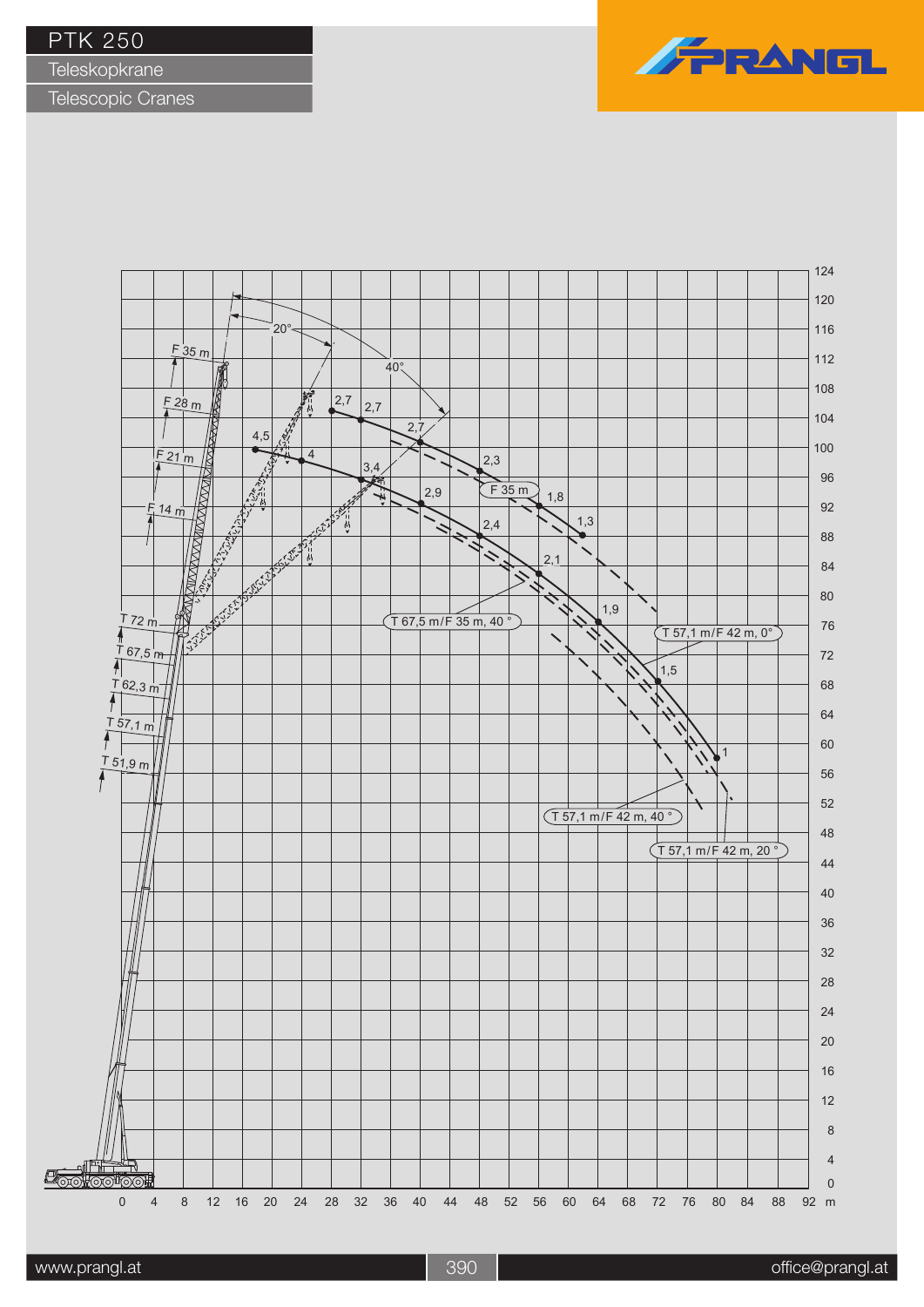**Teleskopkrane** 



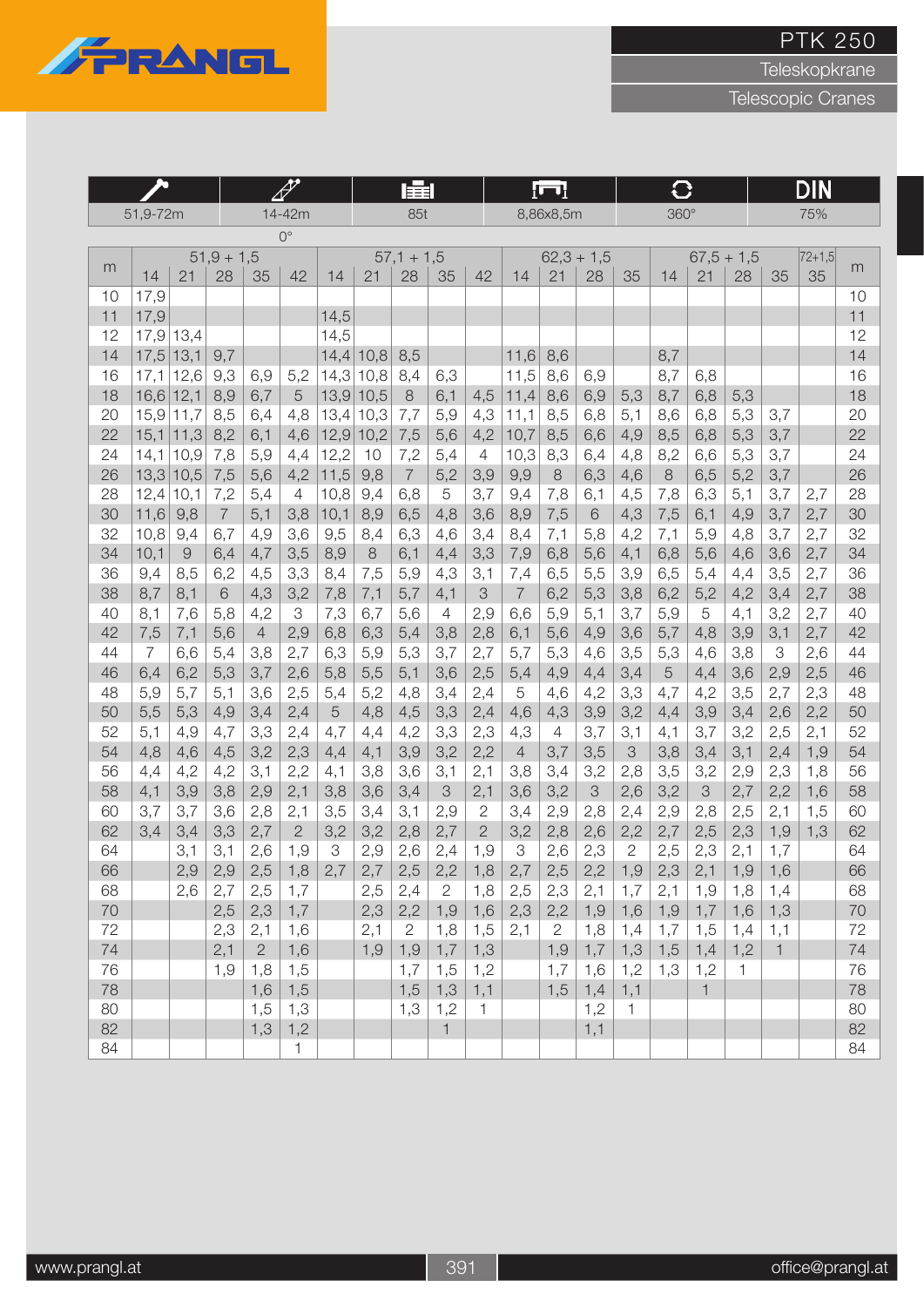

Teleskopkrane

|          |             |                              |                | kZ<br>1<br>14-42m |              |              | 量            |                |                |              | lul                   |                |              | G            |                |              |              | DIN          |            |          |
|----------|-------------|------------------------------|----------------|-------------------|--------------|--------------|--------------|----------------|----------------|--------------|-----------------------|----------------|--------------|--------------|----------------|--------------|--------------|--------------|------------|----------|
|          | 51,9-72m    |                              |                |                   |              |              |              | 85t            |                |              |                       | 8,86x8,5m      |              |              | 360°           |              |              |              | 75%        |          |
|          |             |                              |                |                   | $0^{\circ}$  |              |              |                |                |              |                       |                |              |              |                |              |              |              |            |          |
|          |             |                              | $51,9 + 1,5$   |                   |              |              |              | $57,1 + 1,5$   |                |              |                       |                | $62,3 + 1,5$ |              |                |              | $67,5 + 1,5$ |              | $ 72+1,5 $ |          |
| m        | 14          | 21                           | 28             | 35                | 42           | 14           | 21           | 28             | 35             | 42           | 14                    | 21             | 28           | 35           | 14             | 21           | 28           | 35           | 35         | m        |
| 10       | 17,9        |                              |                |                   |              |              |              |                |                |              |                       |                |              |              |                |              |              |              |            | 10       |
| 11       | 17,9        |                              |                |                   |              | 14,5         |              |                |                |              |                       |                |              |              |                |              |              |              |            | 11       |
| 12       |             | $17,9$ 13,4                  |                |                   |              | 14,5         |              |                |                |              |                       |                |              |              |                |              |              |              |            | 12       |
| 14       | $17,5$ 13,1 |                              | 9,7            |                   |              | 14,4         | 10,8         | 8,5            |                |              | 11,6                  | 8,6            |              |              | 8,7            |              |              |              |            | 14       |
| 16       | 17,1        | 12,6                         | 9,3            | 6,9               | 5,2          | 14,3         | 10,8         | 8,4            | 6,3            |              | 11,5                  | 8,6            | 6,9          |              | 8,7            | 6,8          |              |              |            | 16       |
| 18       | $16,6$ 12,1 |                              | 8,9            | 6,7               | 5            | 13,9         | 10,5         | $\,8\,$        | 6,1            | 4,5          | 11,4                  | 8,6            | 6,9          | 5,3          | 8,7            | 6,8          | 5,3          |              |            | 18       |
| 20<br>22 |             | $15,9$ 11,7<br>$15,1$   11,3 | 8,5<br>8,2     | 6,4<br>6,1        | 4,8<br>4,6   | 13,4<br>12,9 | 10,3<br>10,2 | 7,7            | 5,9<br>5,6     | 4,3<br>4,2   | 11,1<br>10,7          | 8,5            | 6,8<br>6,6   | 5,1<br>4,9   | 8,6<br>8,5     | 6,8<br>6,8   | 5,3<br>5,3   | 3,7<br>3,7   |            | 20<br>22 |
| 24       | 14,1        | 10,9                         | 7,8            | 5,9               | 4,4          | 12,2         | 10           | 7,5<br>7,2     | 5,4            | 4            | 10,3                  | 8,5<br>8,3     | 6,4          | 4,8          | 8,2            | 6,6          | 5,3          | 3,7          |            | 24       |
| 26       | 13,3        | 10,5                         | 7,5            | 5,6               | 4,2          | 11,5         | 9,8          | $\overline{7}$ | 5,2            | 3,9          | 9,9                   | 8              | 6,3          | 4,6          | 8              | 6,5          | 5,2          | 3,7          |            | 26       |
| 28       | 12,4        | 10,1                         | 7,2            | 5,4               | 4            | 10,8         | 9,4          | 6,8            | 5              | 3,7          | 9,4                   | 7,8            | 6,1          | 4,5          | 7,8            | 6,3          | 5,1          | 3,7          | 2,7        | 28       |
| 30       | 11,6        | 9,8                          | $\overline{7}$ | 5,1               | 3,8          | 10,1         | 8,9          | 6,5            | 4,8            | 3,6          | 8,9                   | 7,5            | 6            | 4,3          | 7,5            | 6,1          | 4,9          | 3,7          | 2,7        | 30       |
| 32       | 10,8        | 9,4                          | 6,7            | 4,9               | 3,6          | 9,5          | 8,4          | 6,3            | 4,6            | 3,4          | 8,4                   | 7,1            | 5,8          | 4,2          | 7,1            | 5,9          | 4,8          | 3,7          | 2,7        | 32       |
| 34       | 10,1        | $\Theta$                     | 6,4            | 4,7               | 3,5          | 8,9          | 8            | 6,1            | 4,4            | 3,3          | 7,9                   | 6,8            | 5,6          | 4,1          | 6,8            | 5,6          | 4,6          | 3,6          | 2,7        | 34       |
| 36       | 9,4         | 8,5                          | 6,2            | 4,5               | 3,3          | 8,4          | 7,5          | 5,9            | 4,3            | 3,1          | 7,4                   | 6,5            | 5,5          | 3,9          | 6,5            | 5,4          | 4,4          | 3,5          | 2,7        | 36       |
| 38       | 8,7         | 8,1                          | $6\,$          | 4,3               | 3,2          | 7,8          | 7,1          | 5,7            | 4,1            | 3            | $\overline{7}$        | 6,2            | 5,3          | 3,8          | 6,2            | 5,2          | 4,2          | 3,4          | 2,7        | 38       |
| 40       | 8,1         | 7,6                          | 5,8            | 4,2               | 3            | 7,3          | 6,7          | 5,6            | $\overline{4}$ | 2,9          | 6,6                   | 5,9            | 5,1          | 3,7          | 5,9            | 5            | 4,1          | 3,2          | 2,7        | 40       |
| 42       | 7,5         | 7,1                          | 5,6            | $\overline{4}$    | 2,9          | 6,8          | 6,3          | 5,4            | 3,8            | 2,8          | 6,1                   | 5,6            | 4,9          | 3,6          | 5,7            | 4,8          | 3,9          | 3,1          | 2,7        | 42       |
| 44       | 7           | 6,6                          | 5,4            | 3,8               | 2,7          | 6,3          | 5,9          | 5,3            | 3,7            | 2,7          | 5,7                   | 5,3            | 4,6          | 3,5          | 5,3            | 4,6          | 3,8          | 3            | 2,6        | 44       |
| 46       | 6,4         | 6,2                          | 5,3            | 3,7               | 2,6          | 5,8          | 5,5          | 5,1            | 3,6            | 2,5          | 5,4                   | 4,9            | 4,4          | 3,4          | $\overline{5}$ | 4,4          | 3,6          | 2,9          | 2,5        | 46       |
| 48       | 5,9         | 5,7                          | 5,1            | 3,6               | 2,5          | 5,4          | 5,2          | 4,8            | 3,4            | 2,4          | 5                     | 4,6            | 4,2          | 3,3          | 4,7            | 4,2          | 3,5          | 2,7          | 2,3        | 48       |
| 50       | 5,5         | 5,3                          | 4,9            | 3,4               | 2,4          | 5            | 4,8          | 4,5            | 3,3            | 2,4          | 4,6                   | 4,3            | 3,9          | 3,2          | 4,4            | 3,9          | 3,4          | 2,6          | 2,2        | 50       |
| 52<br>54 | 5,1         | 4,9                          | 4,7            | 3,3               | 2,4          | 4,7          | 4,4          | 4,2            | 3,3            | 2,3          | 4,3<br>$\overline{4}$ | $\overline{4}$ | 3,7          | 3,1          | 4,1            | 3,7          | 3,2          | 2,5          | 2,1        | 52<br>54 |
| 56       | 4,8<br>4,4  | 4,6<br>4,2                   | 4,5<br>4,2     | 3,2<br>3,1        | 2,3<br>2,2   | 4,4<br>4,1   | 4,1<br>3,8   | 3,9<br>3,6     | 3,2<br>3,1     | 2,2<br>2,1   | 3,8                   | 3,7<br>3,4     | 3,5<br>3,2   | 3<br>2,8     | 3,8<br>3,5     | 3,4<br>3,2   | 3,1<br>2,9   | 2,4<br>2,3   | 1,9<br>1,8 | 56       |
| 58       | 4,1         | 3,9                          | 3,8            | 2,9               | 2,1          | 3,8          | 3,6          | 3,4            | 3              | 2,1          | 3,6                   | 3,2            | 3            | 2,6          | 3,2            | 3            | 2,7          | 2,2          | 1,6        | 58       |
| 60       | 3,7         | 3,7                          | 3,6            | 2,8               | 2,1          | 3,5          | 3,4          | 3,1            | 2,9            | 2            | 3,4                   | 2,9            | 2,8          | 2,4          | 2,9            | 2,8          | 2,5          | 2,1          | 1,5        | 60       |
| 62       | 3,4         | 3,4                          | 3,3            | 2,7               | $\mathbf{2}$ | 3,2          | 3,2          | 2,8            | 2,7            | $\mathbf{2}$ | 3,2                   | 2,8            | 2,6          | 2,2          | 2,7            | 2,5          | 2,3          | 1,9          | 1,3        | 62       |
| 64       |             | 3,1                          | 3,1            | 2,6               | 1,9          | 3            | 2,9          | 2,6            | 2,4            | 1,9          | 3                     | 2,6            | 2,3          | $\mathbf{2}$ | 2,5            | 2,3          | 2,1          | 1,7          |            | 64       |
| 66       |             | 2,9                          | 2,9            | 2,5               | 1,8          | 2,7          | 2,7          | 2,5            | 2,2            | 1,8          | 2,7                   | 2,5            |              | $2,2$   1,9  | 2,3            | 2,1          |              | $1,9$   1,6  |            | 66       |
| 68       |             | 2,6                          | 2,7            | 2,5               | 1,7          |              | 2,5          | 2,4            | $\mathbf{2}$   | 1,8          | 2,5                   | 2,3            | 2,1          | 1,7          | 2,1            | 1,9          | 1,8          | 1,4          |            | 68       |
| 70       |             |                              | 2,5            | 2,3               | 1,7          |              | 2,3          | 2,2            | 1,9            | 1,6          | 2,3                   | 2,2            | 1,9          | 1,6          | 1,9            | 1,7          | 1,6          | 1,3          |            | 70       |
| 72       |             |                              | 2,3            | 2,1               | 1,6          |              | 2,1          | $\mathbf{2}$   | 1,8            | 1,5          | 2,1                   | $\overline{2}$ | 1,8          | 1,4          | 1,7            | 1,5          | 1,4          | 1,1          |            | 72       |
| 74       |             |                              | 2,1            | $\overline{2}$    | 1,6          |              | 1,9          | 1,9            | 1,7            | 1,3          |                       | 1,9            | 1,7          | 1,3          | 1,5            | 1,4          | 1,2          | $\mathbf{1}$ |            | 74       |
| 76       |             |                              | 1,9            | 1,8               | 1,5          |              |              | 1,7            | 1,5            | 1,2          |                       | 1,7            | 1,6          | 1,2          | 1,3            | 1,2          | $\mathbf{1}$ |              |            | 76       |
| 78       |             |                              |                | 1,6               | 1,5          |              |              | 1,5            | 1,3            | 1,1          |                       | 1,5            | 1,4          | 1,1          |                | $\mathbf{1}$ |              |              |            | 78       |
| 80       |             |                              |                | 1,5               | 1,3          |              |              | 1,3            | 1,2            | $\mathbf{1}$ |                       |                | 1,2          | $\mathbf{1}$ |                |              |              |              |            | 80       |
| 82       |             |                              |                | 1,3               | 1,2          |              |              |                | $\mathbf{1}$   |              |                       |                | 1,1          |              |                |              |              |              |            | 82       |
| 84       |             |                              |                |                   | $\mathbf{1}$ |              |              |                |                |              |                       |                |              |              |                |              |              |              |            | 84       |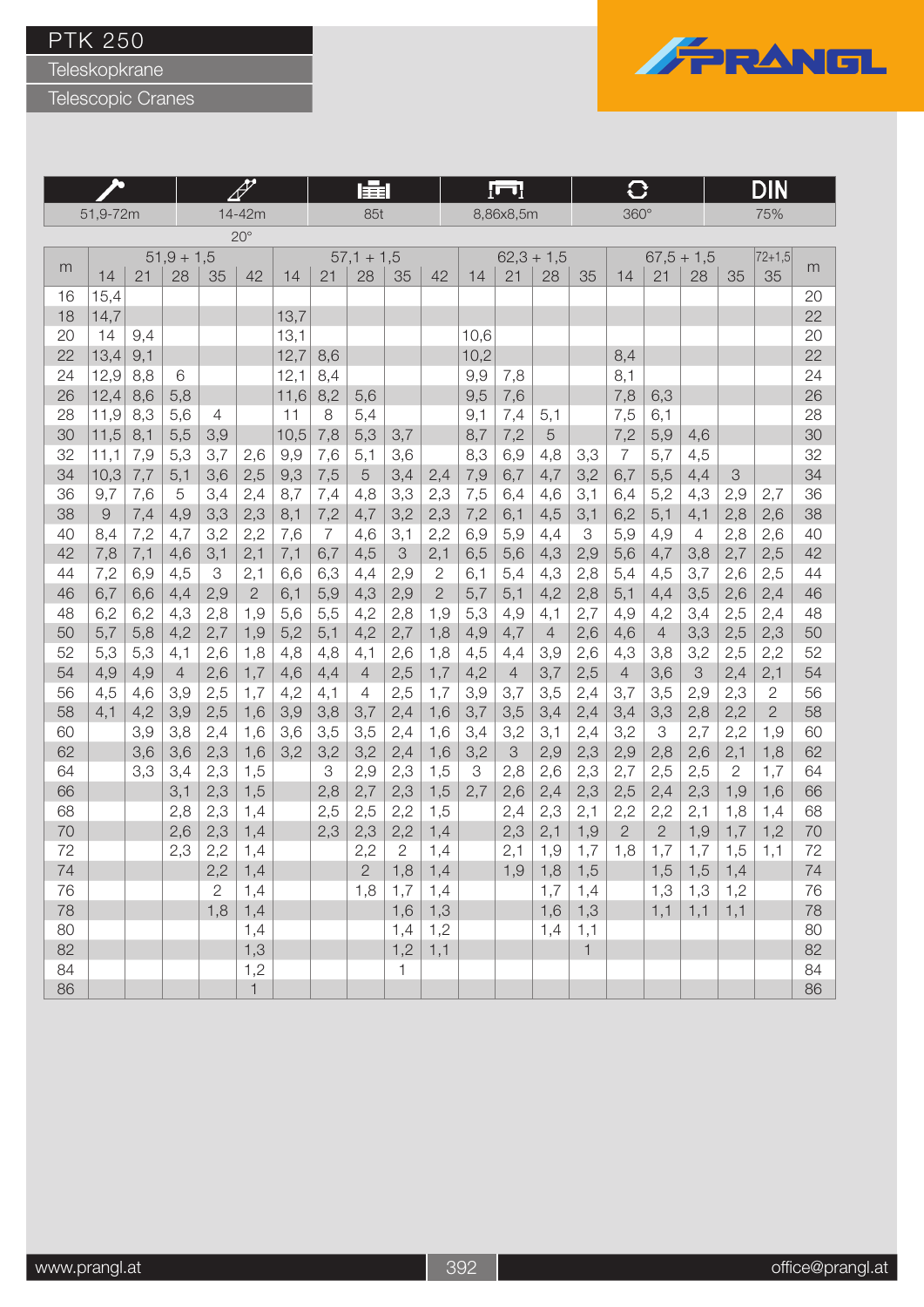Teleskopkrane



|          |            |            |                |                                  | 瞦                     |            |            |                | [m]          |                                |            |                |                |              |                | DIN            |                |               |                |          |
|----------|------------|------------|----------------|----------------------------------|-----------------------|------------|------------|----------------|--------------|--------------------------------|------------|----------------|----------------|--------------|----------------|----------------|----------------|---------------|----------------|----------|
|          | 51,9-72m   |            |                |                                  | 14-42m                |            |            | 85t            |              |                                |            | 8,86x8,5m      |                |              | $360^\circ$    |                |                |               | 75%            |          |
|          |            |            |                |                                  | $20^{\circ}$          |            |            |                |              |                                |            |                |                |              |                |                |                |               |                |          |
|          |            |            | $51,9 + 1,5$   |                                  |                       |            |            | $57,1 + 1,5$   |              |                                |            | $62,3 + 1,5$   |                |              |                | $67,5 + 1,5$   |                |               | $72 + 1,5$     |          |
| m        | 14         | 21         | 28             | 35                               | 42                    | 14         | 21         | 28             | 35           | 42                             | 14         | 21             | 28             | 35           | 14             | 21             | 28             | 35            | 35             | m        |
| 16       | 15,4       |            |                |                                  |                       |            |            |                |              |                                |            |                |                |              |                |                |                |               |                | 20       |
| 18       | 14,7       |            |                |                                  |                       | 13,7       |            |                |              |                                |            |                |                |              |                |                |                |               |                | 22       |
| 20       | 14         | 9,4        |                |                                  |                       | 13,1       |            |                |              |                                | 10,6       |                |                |              |                |                |                |               |                | 20       |
| 22       | 13,4       | 9,1        |                |                                  |                       | 12,7       | 8,6        |                |              |                                | 10,2       |                |                |              | 8,4            |                |                |               |                | 22       |
| 24       | 12,9       | 8,8        | 6              |                                  |                       | 12,1       | 8,4        |                |              |                                | 9,9        | 7,8            |                |              | 8,1            |                |                |               |                | 24       |
| 26       | 12,4       | 8,6        | 5,8            |                                  |                       | 11,6       | 8,2        | 5,6            |              |                                | 9,5        | 7,6            |                |              | 7,8            | 6,3            |                |               |                | 26       |
| 28       | 11,9       | 8,3        | 5,6            | 4                                |                       | 11         | 8          | 5,4            |              |                                | 9,1        | 7,4            | 5,1            |              | 7,5            | 6,1            |                |               |                | 28       |
| 30       | 11,5       | 8,1        | 5,5            | 3,9                              |                       | 10,5       | 7,8        | 5,3            | 3,7          |                                | 8,7        | 7,2            | 5              |              | 7,2            | 5,9            | 4,6            |               |                | 30       |
| 32       | 11,1       | 7,9        | 5,3            | 3,7                              | 2,6                   | 9,9        | 7,6        | 5,1            | 3,6          |                                | 8,3        | 6,9            | 4,8            | 3,3          | $\overline{7}$ | 5,7            | 4,5            |               |                | 32       |
| 34       | 10,3       | 7,7        | 5,1            | 3,6                              | 2,5                   | 9,3        | 7,5        | 5              | 3,4          | 2,4                            | 7,9        | 6,7            | 4,7            | 3,2          | 6,7            | 5,5            | 4,4            | $\mathcal{S}$ |                | 34       |
| 36       | 9.7        | 7,6        | 5              | 3,4                              | 2,4                   | 8,7        | 7,4        | 4,8            | 3,3          | 2,3                            | 7,5        | 6,4            | 4,6            | 3,1          | 6.4            | 5,2            | 4,3            | 2,9           | 2,7            | 36       |
| 38       | 9          | 7,4        | 4,9            | 3,3                              | 2,3                   | 8,1        | 7,2        | 4,7            | 3,2          | 2,3                            | 7,2        | 6,1            | 4,5            | 3,1          | 6,2            | 5,1            | 4,1            | 2,8           | 2,6            | 38       |
| 40       | 8,4        | 7,2        | 4,7            | 3,2                              | 2,2                   | 7,6        | 7          | 4,6            | 3,1          | 2,2                            | 6,9        | 5,9            | 4,4            | 3            | 5,9            | 4,9            | $\overline{4}$ | 2,8           | 2,6            | 40       |
| 42       | 7,8        | 7,1        | 4,6            | 3,1                              | 2,1                   | 7,1        | 6,7        | 4,5            | 3            | 2,1                            | 6,5        | 5,6            | 4,3            | 2,9          | 5,6            | 4,7            | 3,8            | 2,7           | 2,5            | 42       |
| 44<br>46 | 7,2<br>6,7 | 6,9<br>6,6 | 4,5<br>4,4     | $\ensuremath{\mathsf{3}}$<br>2,9 | 2,1<br>$\overline{2}$ | 6,6<br>6,1 | 6,3<br>5,9 | 4,4<br>4,3     | 2,9<br>2,9   | $\mathbf{2}$<br>$\overline{2}$ | 6,1<br>5,7 | 5,4            | 4,3<br>4,2     | 2,8<br>2,8   | 5,4<br>5,1     | 4,5<br>4,4     | 3,7<br>3,5     | 2,6<br>2,6    | 2,5<br>2,4     | 44<br>46 |
| 48       | 6,2        | 6,2        | 4,3            | 2,8                              | 1,9                   | 5,6        | 5,5        | 4,2            | 2,8          | 1,9                            | 5,3        | 5,1<br>4,9     | 4,1            | 2,7          | 4,9            | 4,2            | 3,4            | 2,5           | 2,4            | 48       |
| 50       | 5,7        | 5,8        | 4,2            | 2,7                              | 1,9                   | 5,2        | 5,1        | 4,2            | 2,7          | 1,8                            | 4,9        | 4,7            | $\overline{4}$ | 2,6          | 4,6            | $\overline{4}$ | 3,3            | 2,5           | 2,3            | 50       |
| 52       | 5,3        | 5,3        | 4,1            | 2,6                              | 1,8                   | 4,8        | 4,8        | 4,1            | 2,6          | 1,8                            | 4,5        | 4,4            | 3,9            | 2,6          | 4,3            | 3,8            | 3,2            | 2,5           | 2,2            | 52       |
| 54       | 4,9        | 4,9        | $\overline{4}$ | 2,6                              | 1,7                   | 4,6        | 4,4        | $\overline{4}$ | 2,5          | 1,7                            | 4,2        | $\overline{4}$ | 3,7            | 2,5          | $\overline{4}$ | 3,6            | 3              | 2,4           | 2,1            | 54       |
| 56       | 4,5        | 4,6        | 3,9            | 2,5                              | 1,7                   | 4,2        | 4,1        | $\overline{4}$ | 2,5          | 1,7                            | 3,9        | 3,7            | 3,5            | 2,4          | 3,7            | 3,5            | 2,9            | 2,3           | $\overline{2}$ | 56       |
| 58       | 4,1        | 4,2        | 3,9            | 2,5                              | 1,6                   | 3,9        | 3,8        | 3,7            | 2,4          | 1,6                            | 3,7        | 3,5            | 3,4            | 2,4          | 3,4            | 3,3            | 2,8            | 2,2           | $\overline{2}$ | 58       |
| 60       |            | 3,9        | 3,8            | 2,4                              | 1,6                   | 3,6        | 3,5        | 3,5            | 2,4          | 1,6                            | 3,4        | 3,2            | 3,1            | 2,4          | 3,2            | 3              | 2,7            | 2,2           | 1,9            | 60       |
| 62       |            | 3,6        | 3,6            | 2,3                              | 1,6                   | 3,2        | 3,2        | 3,2            | 2,4          | 1,6                            | 3,2        | 3              | 2,9            | 2,3          | 2,9            | 2,8            | 2,6            | 2,1           | 1,8            | 62       |
| 64       |            | 3,3        | 3,4            | 2,3                              | 1,5                   |            | 3          | 2,9            | 2,3          | 1,5                            | З          | 2,8            | 2,6            | 2,3          | 2,7            | 2,5            | 2,5            | $\mathbf{2}$  | 1,7            | 64       |
| 66       |            |            | 3,1            | 2,3                              | 1,5                   |            | 2,8        | 2,7            | 2,3          | 1,5                            | 2,7        | 2,6            | 2,4            | 2,3          | 2,5            | 2,4            | 2,3            | 1,9           | 1.6            | 66       |
| 68       |            |            | 2,8            | 2,3                              | 1,4                   |            | 2,5        | 2,5            | 2,2          | 1,5                            |            | 2,4            | 2,3            | 2,1          | 2,2            | 2,2            | 2,1            | 1,8           | 1,4            | 68       |
| 70       |            |            | 2,6            | 2,3                              | 1,4                   |            | 2,3        | 2,3            | 2,2          | 1,4                            |            | 2,3            | 2,1            | 1,9          | $\overline{2}$ | $\overline{2}$ | 1,9            | 1,7           | 1,2            | 70       |
| 72       |            |            | 2,3            | 2,2                              | 1,4                   |            |            | 2,2            | $\mathbf{2}$ | 1,4                            |            | 2,1            | 1,9            | 1,7          | 1,8            | 1,7            | 1,7            | 1,5           | 1,1            | 72       |
| 74       |            |            |                | 2,2                              | 1,4                   |            |            | $\mathbf{2}$   | 1,8          | 1,4                            |            | 1,9            | 1,8            | 1,5          |                | 1,5            | 1,5            | 1,4           |                | 74       |
| 76       |            |            |                | 2                                | 1,4                   |            |            | 1,8            | 1,7          | 1,4                            |            |                | 1,7            | 1,4          |                | 1,3            | 1,3            | 1,2           |                | 76       |
| 78       |            |            |                | 1,8                              | 1,4                   |            |            |                | 1,6          | 1,3                            |            |                | 1,6            | 1,3          |                | 1,1            | 1,1            | 1,1           |                | 78       |
| 80       |            |            |                |                                  | 1,4                   |            |            |                | 1,4          | 1,2                            |            |                | 1,4            | 1,1          |                |                |                |               |                | 80       |
| 82       |            |            |                |                                  | 1,3                   |            |            |                | 1,2          | 1,1                            |            |                |                | $\mathbf{1}$ |                |                |                |               |                | 82       |
| 84       |            |            |                |                                  | 1,2                   |            |            |                | $\mathbf{1}$ |                                |            |                |                |              |                |                |                |               |                | 84       |
| 86       |            |            |                |                                  | $\mathbf{1}$          |            |            |                |              |                                |            |                |                |              |                |                |                |               |                | 86       |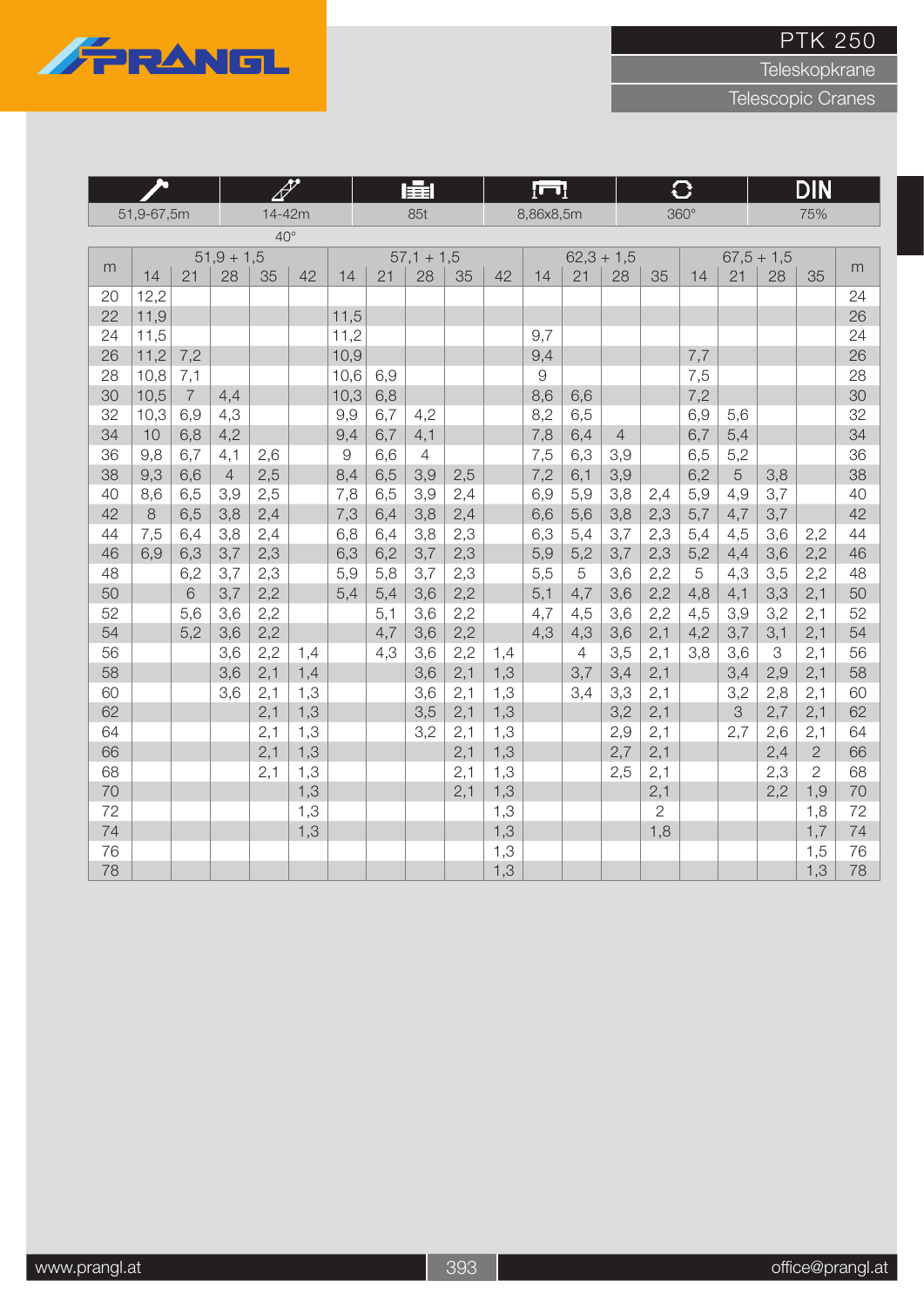

Teleskopkrane

|          |            |                |                |              | 4   |               |            | 屋                     |     |     | $\Gamma$   |            |                |                | $\overline{\textbf{C}}$ |            |              | <b>DIN</b>     |          |
|----------|------------|----------------|----------------|--------------|-----|---------------|------------|-----------------------|-----|-----|------------|------------|----------------|----------------|-------------------------|------------|--------------|----------------|----------|
|          | 51,9-67,5m |                |                | 14-42m       |     |               |            | 85t                   |     |     | 8,86x8,5m  |            |                |                | $360^\circ$             |            |              | 75%            |          |
|          |            |                |                | $40^{\circ}$ |     |               |            |                       |     |     |            |            |                |                |                         |            |              |                |          |
| m        |            |                | $51,9 + 1,5$   |              |     |               |            | $57,1 + 1,5$          |     |     |            |            | $62,3 + 1,5$   |                |                         |            | $67,5 + 1,5$ |                | m        |
|          | 14         | 21             | 28             | 35           | 42  | 14            | 21         | 28                    | 35  | 42  | 14         | 21         | 28             | 35             | 14                      | 21         | 28           | 35             |          |
| 20       | 12,2       |                |                |              |     |               |            |                       |     |     |            |            |                |                |                         |            |              |                | 24       |
| 22       | 11,9       |                |                |              |     | 11,5          |            |                       |     |     |            |            |                |                |                         |            |              |                | 26       |
| 24       | 11,5       |                |                |              |     | 11,2          |            |                       |     |     | 9,7        |            |                |                |                         |            |              |                | 24       |
| 26       | 11,2       | 7,2            |                |              |     | 10,9          |            |                       |     |     | 9,4        |            |                |                | 7,7                     |            |              |                | 26       |
| 28       | 10,8       | 7,1            |                |              |     | 10,6          | 6,9        |                       |     |     | 9          |            |                |                | 7,5                     |            |              |                | 28       |
| 30       | 10,5       | $\overline{7}$ | 4,4            |              |     | 10,3          | 6,8        |                       |     |     | 8,6        | 6,6        |                |                | 7,2                     |            |              |                | 30       |
| 32<br>34 | 10,3<br>10 | 6,9<br>6,8     | 4,3<br>4,2     |              |     | 9,9<br>9,4    | 6,7<br>6,7 | 4,2                   |     |     | 8,2<br>7,8 | 6,5<br>6,4 | $\overline{4}$ |                | 6,9<br>6,7              | 5,6<br>5,4 |              |                | 32<br>34 |
| 36       | 9,8        | 6,7            | 4,1            | 2,6          |     | $\mathcal{G}$ | 6,6        | 4,1<br>$\overline{4}$ |     |     | 7,5        | 6,3        | 3,9            |                | 6,5                     | 5,2        |              |                | 36       |
| 38       | 9,3        | 6,6            | $\overline{4}$ | 2,5          |     | 8,4           | 6,5        | 3,9                   | 2,5 |     | 7,2        | 6,1        | 3,9            |                | 6,2                     | 5          | 3,8          |                | 38       |
| 40       | 8,6        | 6,5            | 3,9            | 2,5          |     | 7,8           | 6,5        | 3,9                   | 2,4 |     | 6,9        | 5,9        | 3,8            | 2,4            | 5,9                     | 4,9        | 3,7          |                | 40       |
| 42       | $\,8\,$    | 6,5            | 3,8            | 2,4          |     | 7,3           | 6,4        | 3,8                   | 2,4 |     | 6,6        | 5,6        | 3,8            | 2,3            | 5,7                     | 4,7        | 3,7          |                | 42       |
| 44       | 7,5        | 6,4            | 3,8            | 2,4          |     | 6,8           | 6,4        | 3,8                   | 2,3 |     | 6,3        | 5,4        | 3,7            | 2,3            | 5,4                     | 4,5        | 3,6          | 2,2            | 44       |
| 46       | 6,9        | 6,3            | 3,7            | 2,3          |     | 6,3           | 6,2        | 3,7                   | 2,3 |     | 5,9        | 5,2        | 3,7            | 2,3            | 5,2                     | 4,4        | 3,6          | 2,2            | 46       |
| 48       |            | 6,2            | 3,7            | 2,3          |     | 5,9           | 5,8        | 3,7                   | 2,3 |     | 5,5        | 5          | 3,6            | 2,2            | 5                       | 4,3        | 3,5          | 2,2            | 48       |
| 50       |            | 6              | 3,7            | 2,2          |     | 5,4           | 5,4        | 3,6                   | 2,2 |     | 5,1        | 4,7        | 3,6            | 2,2            | 4,8                     | 4,1        | 3,3          | 2,1            | 50       |
| 52       |            | 5,6            | 3,6            | 2,2          |     |               | 5,1        | 3,6                   | 2,2 |     | 4,7        | 4,5        | 3,6            | 2,2            | 4,5                     | 3,9        | 3,2          | 2,1            | 52       |
| 54       |            | 5,2            | 3,6            | 2,2          |     |               | 4,7        | 3,6                   | 2,2 |     | 4,3        | 4,3        | 3,6            | 2,1            | 4,2                     | 3,7        | 3,1          | 2,1            | 54       |
| 56       |            |                | 3,6            | 2,2          | 1,4 |               | 4,3        | 3,6                   | 2,2 | 1,4 |            | 4          | 3,5            | 2,1            | 3,8                     | 3,6        | 3            | 2,1            | 56       |
| 58       |            |                | 3,6            | 2,1          | 1,4 |               |            | 3,6                   | 2,1 | 1,3 |            | 3,7        | 3,4            | 2,1            |                         | 3,4        | 2,9          | 2,1            | 58       |
| 60       |            |                | 3,6            | 2,1          | 1,3 |               |            | 3,6                   | 2,1 | 1,3 |            | 3,4        | 3,3            | 2,1            |                         | 3,2        | 2,8          | 2,1            | 60       |
| 62       |            |                |                | 2,1          | 1,3 |               |            | 3,5                   | 2,1 | 1,3 |            |            | 3,2            | 2,1            |                         | 3          | 2,7          | 2,1            | 62       |
| 64       |            |                |                | 2,1          | 1,3 |               |            | 3,2                   | 2,1 | 1,3 |            |            | 2,9            | 2,1            |                         | 2,7        | 2,6          | 2,1            | 64       |
| 66       |            |                |                | 2,1          | 1,3 |               |            |                       | 2,1 | 1,3 |            |            | 2,7            | 2,1            |                         |            | 2,4          | $\overline{2}$ | 66       |
| 68       |            |                |                | 2,1          | 1,3 |               |            |                       | 2,1 | 1,3 |            |            | 2,5            | 2,1            |                         |            | 2,3          | $\overline{2}$ | 68       |
| 70       |            |                |                |              | 1,3 |               |            |                       | 2,1 | 1,3 |            |            |                | 2,1            |                         |            | 2,2          | 1,9            | 70       |
| 72       |            |                |                |              | 1,3 |               |            |                       |     | 1,3 |            |            |                | $\overline{2}$ |                         |            |              | 1,8            | 72       |
| 74       |            |                |                |              | 1,3 |               |            |                       |     | 1,3 |            |            |                | 1,8            |                         |            |              | 1,7            | 74       |
| 76       |            |                |                |              |     |               |            |                       |     | 1,3 |            |            |                |                |                         |            |              | 1,5            | 76       |
| 78       |            |                |                |              |     |               |            |                       |     | 1,3 |            |            |                |                |                         |            |              | 1,3            | 78       |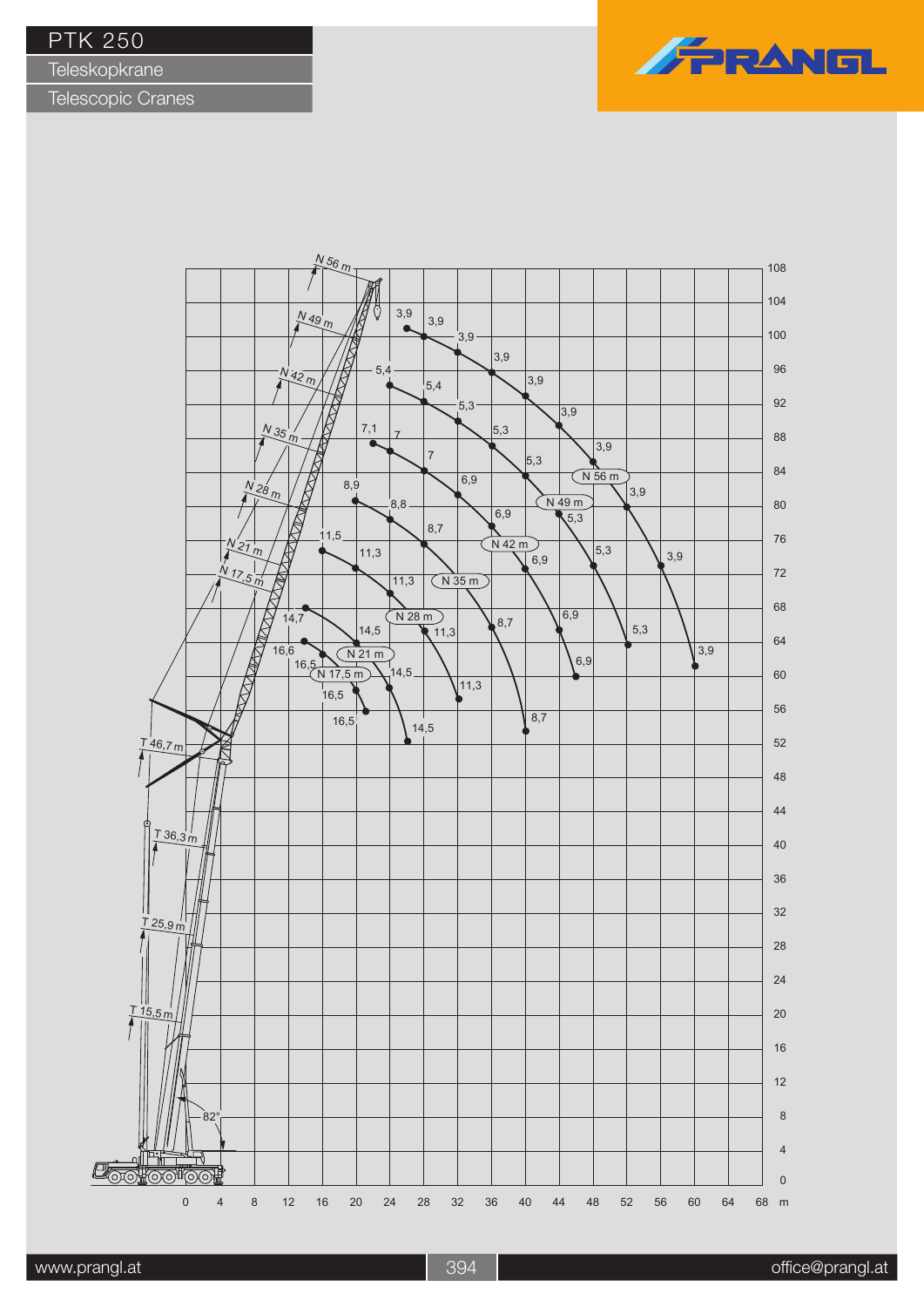**Teleskopkrane** 



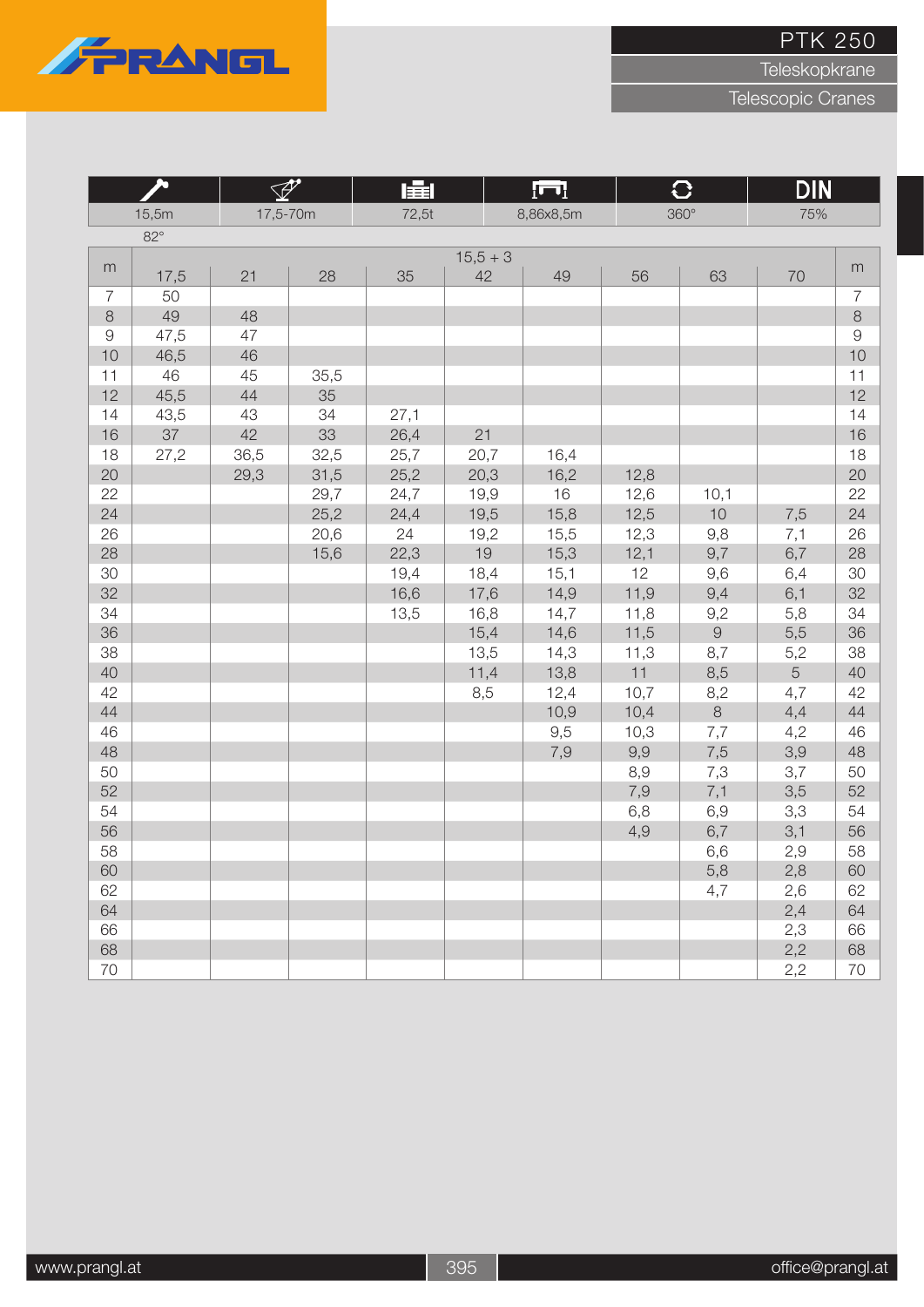

Teleskopkrane

|                |            | $\mathscr{P}$ |      | 肁     |            | ſП        |      | $\overline{C}$ | <b>DIN</b> |                |
|----------------|------------|---------------|------|-------|------------|-----------|------|----------------|------------|----------------|
|                | 15,5m      | 17,5-70m      |      | 72,5t |            | 8,86x8,5m |      | $360^\circ$    | 75%        |                |
|                | $82^\circ$ |               |      |       |            |           |      |                |            |                |
| m              |            |               |      |       | $15,5 + 3$ |           |      |                |            | m              |
|                | 17,5       | 21            | 28   | 35    | 42         | 49        | 56   | 63             | 70         |                |
| $\overline{7}$ | 50         |               |      |       |            |           |      |                |            | $\overline{7}$ |
| $\,8\,$        | 49         | 48            |      |       |            |           |      |                |            | $\,8\,$        |
| $\hbox{9}$     | 47,5       | 47            |      |       |            |           |      |                |            | $\Theta$       |
| 10             | 46,5       | 46            |      |       |            |           |      |                |            | 10             |
| 11             | 46         | 45            | 35,5 |       |            |           |      |                |            | 11             |
| 12             | 45,5       | 44            | 35   |       |            |           |      |                |            | 12             |
| 14             | 43,5       | 43            | 34   | 27,1  |            |           |      |                |            | 14             |
| 16             | 37         | 42            | 33   | 26,4  | 21         |           |      |                |            | 16             |
| 18             | 27,2       | 36,5          | 32,5 | 25,7  | 20,7       | 16,4      |      |                |            | 18             |
| 20             |            | 29,3          | 31,5 | 25,2  | 20,3       | 16,2      | 12,8 |                |            | 20             |
| 22             |            |               | 29,7 | 24,7  | 19,9       | 16        | 12,6 | 10,1           |            | 22             |
| 24             |            |               | 25,2 | 24,4  | 19,5       | 15,8      | 12,5 | 10             | 7,5        | 24             |
| 26             |            |               | 20,6 | 24    | 19,2       | 15,5      | 12,3 | 9,8            | 7,1        | 26             |
| 28             |            |               | 15,6 | 22,3  | 19         | 15,3      | 12,1 | 9,7            | 6,7        | 28             |
| 30             |            |               |      | 19,4  | 18,4       | 15,1      | 12   | 9,6            | 6,4        | 30             |
| 32             |            |               |      | 16,6  | 17,6       | 14,9      | 11,9 | 9,4            | 6,1        | 32             |
| 34             |            |               |      | 13,5  | 16,8       | 14,7      | 11,8 | 9,2            | 5,8        | 34             |
| 36             |            |               |      |       | 15,4       | 14,6      | 11,5 | $\Theta$       | 5,5        | 36             |
| 38             |            |               |      |       | 13,5       | 14,3      | 11,3 | 8,7            | 5,2        | 38             |
| 40             |            |               |      |       | 11,4       | 13,8      | 11   | 8,5            | 5          | 40             |
| 42             |            |               |      |       | 8,5        | 12,4      | 10,7 | 8,2            | 4,7        | 42             |
| 44             |            |               |      |       |            | 10,9      | 10,4 | $\,8\,$        | 4,4        | 44             |
| 46             |            |               |      |       |            | 9,5       | 10,3 | 7,7            | 4,2        | 46             |
| 48             |            |               |      |       |            | 7,9       | 9,9  | 7,5            | 3,9        | 48             |
| 50             |            |               |      |       |            |           | 8,9  | 7,3            | 3,7        | 50             |
| 52             |            |               |      |       |            |           | 7,9  | 7,1            | 3,5        | 52             |
| 54             |            |               |      |       |            |           | 6,8  | 6,9            | 3,3        | 54             |
| 56             |            |               |      |       |            |           | 4,9  | 6,7            | 3,1        | 56             |
| 58             |            |               |      |       |            |           |      | 6,6            | 2,9        | 58             |
| 60             |            |               |      |       |            |           |      | 5,8            | 2,8        | 60             |
| 62             |            |               |      |       |            |           |      | 4,7            | 2,6        | 62             |
| 64             |            |               |      |       |            |           |      |                | 2,4        | 64             |
| 66             |            |               |      |       |            |           |      |                | 2,3        | 66             |
| 68             |            |               |      |       |            |           |      |                | 2,2        | 68             |
| 70             |            |               |      |       |            |           |      |                | 2,2        | 70             |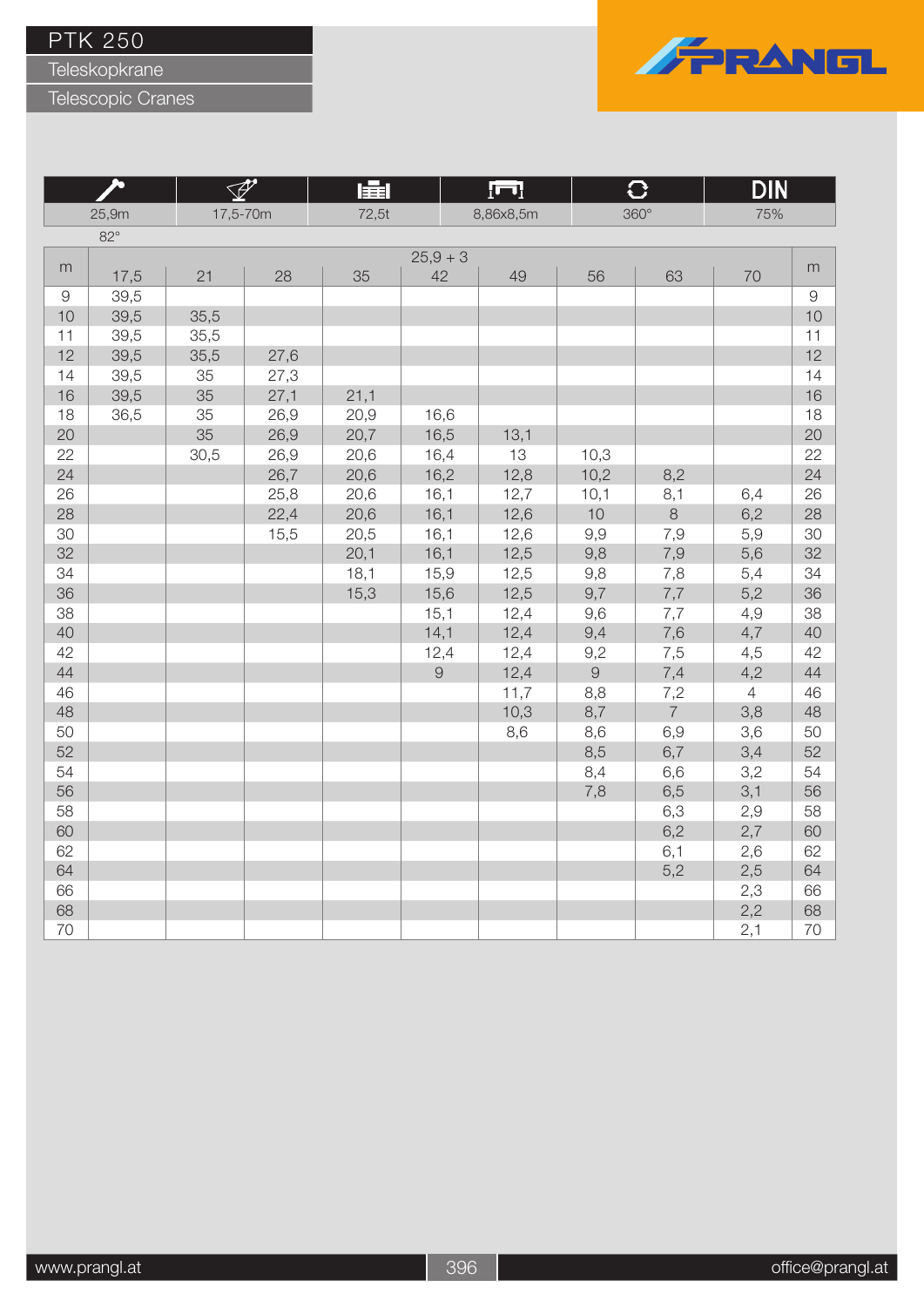Teleskopkrane

Telescopic Cranes



**The Second** 

|            |            |          |      | 車     |                | <u>[m]</u> |                     |                | DIN            |               |
|------------|------------|----------|------|-------|----------------|------------|---------------------|----------------|----------------|---------------|
|            | 25,9m      | 17,5-70m |      | 72,5t |                | 8,86x8,5m  |                     | 360°           | 75%            |               |
|            | $82^\circ$ |          |      |       |                |            |                     |                |                |               |
|            |            |          |      |       | $25,9+3$       |            |                     |                |                |               |
| m          | 17,5       | 21       | 28   | 35    | 42             | 49         | 56                  | 63             | 70             | m             |
| $\hbox{9}$ | 39,5       |          |      |       |                |            |                     |                |                | $\mathcal{G}$ |
| 10         | 39,5       | 35,5     |      |       |                |            |                     |                |                | 10            |
| 11         | 39,5       | 35,5     |      |       |                |            |                     |                |                | 11            |
| 12         | 39,5       | 35,5     | 27,6 |       |                |            |                     |                |                | 12            |
| 14         | 39,5       | 35       | 27,3 |       |                |            |                     |                |                | 14            |
| 16         | 39,5       | 35       | 27,1 | 21,1  |                |            |                     |                |                | 16            |
| 18         | 36,5       | 35       | 26,9 | 20,9  | 16,6           |            |                     |                |                | 18            |
| 20         |            | 35       | 26,9 | 20,7  | 16,5           | 13,1       |                     |                |                | 20            |
| 22         |            | 30,5     | 26,9 | 20,6  | 16,4           | 13         | 10,3                |                |                | 22            |
| 24         |            |          | 26,7 | 20,6  | 16,2           | 12,8       | 10,2                | 8,2            |                | 24            |
| 26         |            |          | 25,8 | 20,6  | 16,1           | 12,7       | 10,1                | 8,1            | 6,4            | 26            |
| 28         |            |          | 22,4 | 20,6  | 16,1           | 12,6       | 10                  | $\,8\,$        | 6,2            | 28            |
| 30         |            |          | 15,5 | 20,5  | 16,1           | 12,6       | 9,9                 | 7,9            | 5,9            | 30            |
| 32         |            |          |      | 20,1  | 16,1           | 12,5       | 9,8                 | 7,9            | 5,6            | 32            |
| 34         |            |          |      | 18,1  | 15,9           | 12,5       | 9,8                 | 7,8            | 5,4            | 34            |
| 36         |            |          |      | 15,3  | 15,6           | 12,5       | 9,7                 | $7,\!7$        | 5,2            | 36            |
| 38         |            |          |      |       | 15,1           | 12,4       | 9,6                 | 7,7            | 4,9            | 38            |
| 40         |            |          |      |       | 14,1           | 12,4       | 9,4                 | 7,6            | 4,7            | 40            |
| 42         |            |          |      |       | 12,4           | 12,4       | 9,2                 | 7,5            | 4,5            | 42            |
| 44         |            |          |      |       | $\overline{9}$ | 12,4       | $\mathcal{G}% _{0}$ | 7,4            | 4,2            | 44            |
| 46         |            |          |      |       |                | 11,7       | 8,8                 | 7,2            | $\overline{4}$ | 46            |
| 48         |            |          |      |       |                | 10,3       | 8,7                 | $\overline{7}$ | 3,8            | 48            |
| 50         |            |          |      |       |                | 8,6        | 8,6                 | 6,9            | 3,6            | 50            |
| 52         |            |          |      |       |                |            | 8,5                 | 6,7            | 3,4            | 52            |
| 54         |            |          |      |       |                |            | 8,4                 | 6,6            | 3,2            | 54            |
| 56         |            |          |      |       |                |            | 7,8                 | 6,5            | 3,1            | 56            |
| 58         |            |          |      |       |                |            |                     | 6,3            | 2,9            | 58            |
| 60         |            |          |      |       |                |            |                     | 6,2            | 2,7            | 60            |
| 62         |            |          |      |       |                |            |                     | 6,1            | 2,6            | 62            |
| 64         |            |          |      |       |                |            |                     | 5,2            | 2,5            | 64            |
| 66         |            |          |      |       |                |            |                     |                | 2,3            | 66            |
| 68         |            |          |      |       |                |            |                     |                | 2,2            | 68            |
| 70         |            |          |      |       |                |            |                     |                | 2,1            | 70            |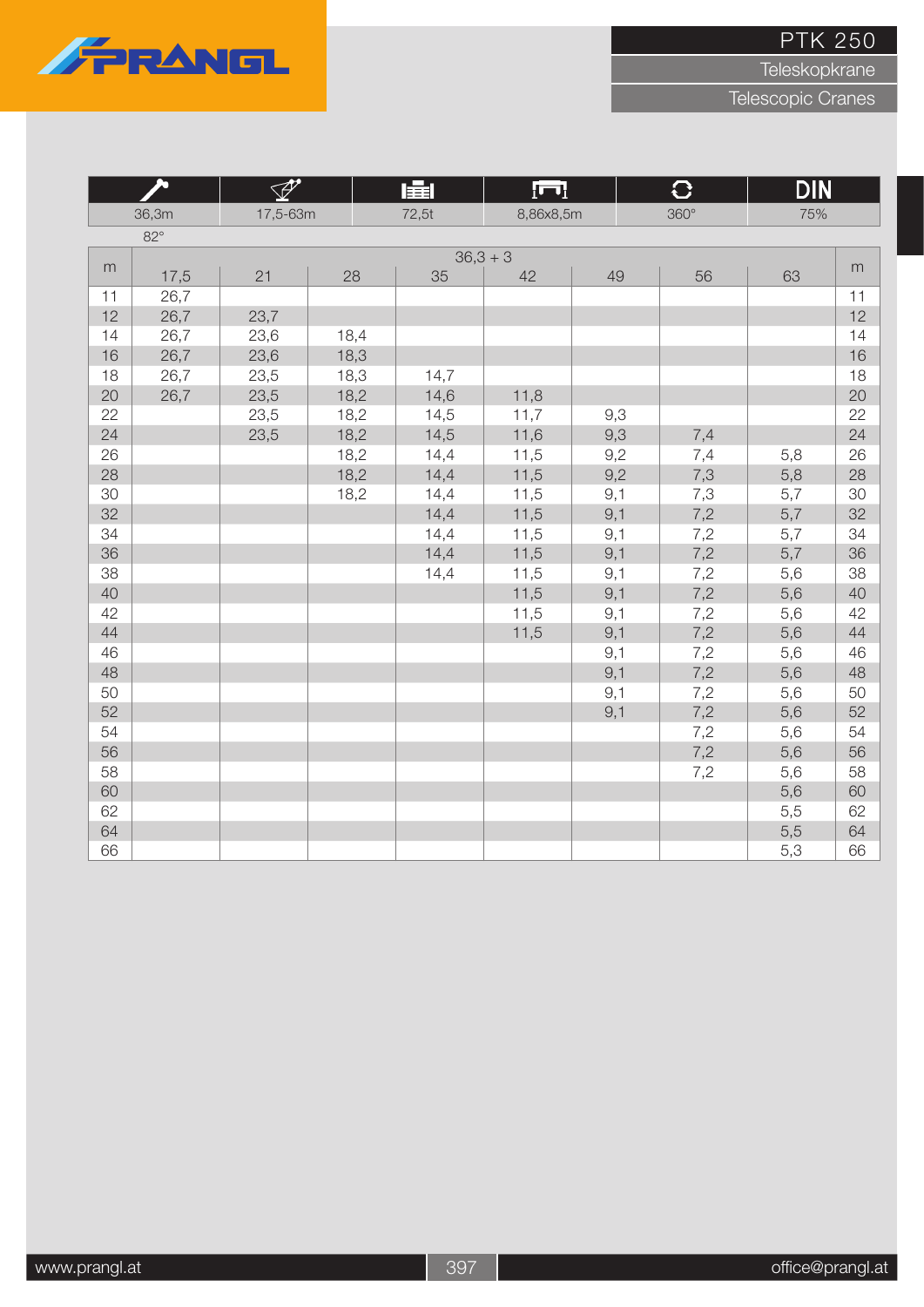

Teleskopkrane

|    |            | $\overline{\mathscr{P}}$ |      | 量     | जि         |     | $\overline{C}$ | <b>DIN</b> |    |
|----|------------|--------------------------|------|-------|------------|-----|----------------|------------|----|
|    | 36,3m      | 17,5-63m                 |      | 72,5t | 8,86x8,5m  |     | $360^\circ$    | 75%        |    |
|    | $82^\circ$ |                          |      |       |            |     |                |            |    |
|    |            |                          |      |       | $36,3 + 3$ |     |                |            |    |
| m  | 17,5       | 21                       | 28   | 35    | 42         | 49  | 56             | 63         | m  |
| 11 | 26,7       |                          |      |       |            |     |                |            | 11 |
| 12 | 26,7       | 23,7                     |      |       |            |     |                |            | 12 |
| 14 | 26,7       | 23,6                     | 18,4 |       |            |     |                |            | 14 |
| 16 | 26,7       | 23,6                     | 18,3 |       |            |     |                |            | 16 |
| 18 | 26,7       | 23,5                     | 18,3 | 14,7  |            |     |                |            | 18 |
| 20 | 26,7       | 23,5                     | 18,2 | 14,6  | 11,8       |     |                |            | 20 |
| 22 |            | 23,5                     | 18,2 | 14,5  | 11,7       | 9,3 |                |            | 22 |
| 24 |            | 23,5                     | 18,2 | 14,5  | 11,6       | 9,3 | 7,4            |            | 24 |
| 26 |            |                          | 18,2 | 14,4  | 11,5       | 9,2 | 7,4            | 5,8        | 26 |
| 28 |            |                          | 18,2 | 14,4  | 11,5       | 9,2 | $7,3$          | 5,8        | 28 |
| 30 |            |                          | 18,2 | 14,4  | 11,5       | 9,1 | 7,3            | 5,7        | 30 |
| 32 |            |                          |      | 14,4  | 11,5       | 9,1 | 7,2            | 5,7        | 32 |
| 34 |            |                          |      | 14,4  | 11,5       | 9,1 | 7,2            | 5,7        | 34 |
| 36 |            |                          |      | 14,4  | 11,5       | 9,1 | 7,2            | 5,7        | 36 |
| 38 |            |                          |      | 14,4  | 11,5       | 9,1 | 7,2            | 5,6        | 38 |
| 40 |            |                          |      |       | 11,5       | 9,1 | 7,2            | 5,6        | 40 |
| 42 |            |                          |      |       | 11,5       | 9,1 | 7,2            | 5,6        | 42 |
| 44 |            |                          |      |       | 11,5       | 9,1 | 7,2            | 5,6        | 44 |
| 46 |            |                          |      |       |            | 9,1 | 7,2            | 5,6        | 46 |
| 48 |            |                          |      |       |            | 9,1 | 7,2            | 5,6        | 48 |
| 50 |            |                          |      |       |            | 9,1 | 7,2            | 5,6        | 50 |
| 52 |            |                          |      |       |            | 9,1 | 7,2            | 5,6        | 52 |
| 54 |            |                          |      |       |            |     | 7,2            | 5,6        | 54 |
| 56 |            |                          |      |       |            |     | 7,2            | 5,6        | 56 |
| 58 |            |                          |      |       |            |     | 7,2            | 5,6        | 58 |
| 60 |            |                          |      |       |            |     |                | 5,6        | 60 |
| 62 |            |                          |      |       |            |     |                | 5,5        | 62 |
| 64 |            |                          |      |       |            |     |                | 5,5        | 64 |
| 66 |            |                          |      |       |            |     |                | 5,3        | 66 |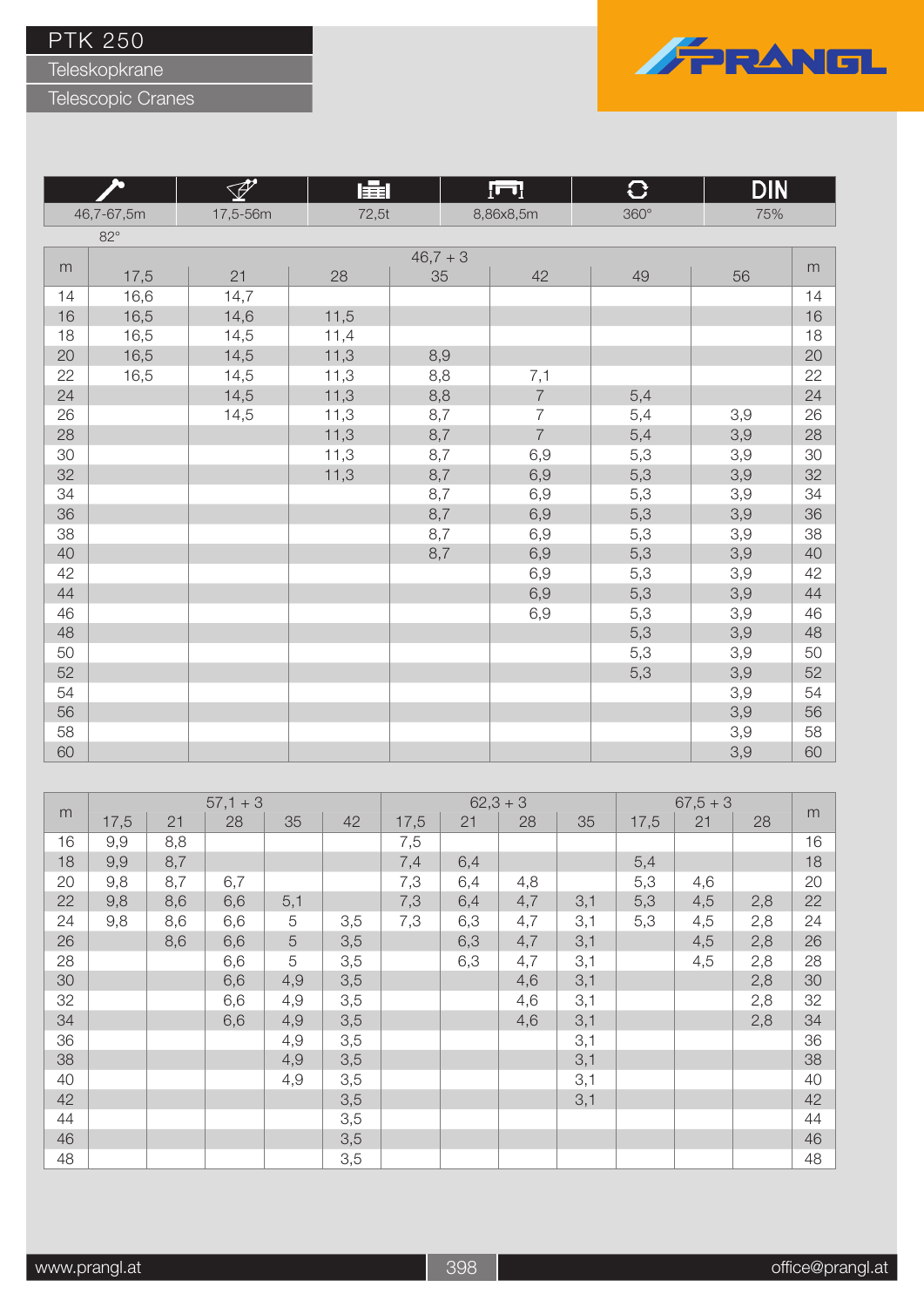Teleskopkrane

Telescopic Cranes



**The Second** 

|    |            | ⊻∕∑      | 匪     |          | <u>¦⊓]</u>     | IJ          | <b>DIN</b> |    |
|----|------------|----------|-------|----------|----------------|-------------|------------|----|
|    | 46,7-67,5m | 17,5-56m | 72,5t |          | 8,86x8,5m      | $360^\circ$ | 75%        |    |
|    | $82^\circ$ |          |       |          |                |             |            |    |
|    |            |          |       | $46,7+3$ |                |             |            |    |
| m  | 17,5       | 21       | 28    | 35       | 42             | 49          | 56         | m  |
| 14 | 16,6       | 14,7     |       |          |                |             |            | 14 |
| 16 | 16,5       | 14,6     | 11,5  |          |                |             |            | 16 |
| 18 | 16,5       | 14,5     | 11,4  |          |                |             |            | 18 |
| 20 | 16,5       | 14,5     | 11,3  | 8,9      |                |             |            | 20 |
| 22 | 16,5       | 14,5     | 11,3  | 8,8      | 7,1            |             |            | 22 |
| 24 |            | 14,5     | 11,3  | 8,8      | $\overline{7}$ | 5,4         |            | 24 |
| 26 |            | 14,5     | 11,3  | 8,7      | $\overline{7}$ | 5,4         | 3,9        | 26 |
| 28 |            |          | 11,3  | 8,7      | $\overline{7}$ | 5,4         | 3,9        | 28 |
| 30 |            |          | 11,3  | 8,7      | 6,9            | 5,3         | 3,9        | 30 |
| 32 |            |          | 11,3  | 8,7      | 6,9            | 5,3         | 3,9        | 32 |
| 34 |            |          |       | 8,7      | 6,9            | 5,3         | 3,9        | 34 |
| 36 |            |          |       | 8,7      | 6,9            | 5,3         | 3,9        | 36 |
| 38 |            |          |       | 8,7      | 6,9            | 5,3         | 3,9        | 38 |
| 40 |            |          |       | 8,7      | 6,9            | 5,3         | 3,9        | 40 |
| 42 |            |          |       |          | 6,9            | 5,3         | 3,9        | 42 |
| 44 |            |          |       |          | 6,9            | 5,3         | 3,9        | 44 |
| 46 |            |          |       |          | 6,9            | 5,3         | 3,9        | 46 |
| 48 |            |          |       |          |                | 5,3         | 3,9        | 48 |
| 50 |            |          |       |          |                | 5,3         | 3,9        | 50 |
| 52 |            |          |       |          |                | 5,3         | 3,9        | 52 |
| 54 |            |          |       |          |                |             | 3,9        | 54 |
| 56 |            |          |       |          |                |             | 3,9        | 56 |
| 58 |            |          |       |          |                |             | 3,9        | 58 |
| 60 |            |          |       |          |                |             | 3,9        | 60 |

|    |      |     | $57,1 + 3$ |     |     |      | $62,3+3$ |     |     |      | $67,5+3$ |     |    |
|----|------|-----|------------|-----|-----|------|----------|-----|-----|------|----------|-----|----|
| m  | 17,5 | 21  | 28         | 35  | 42  | 17,5 | 21       | 28  | 35  | 17,5 | 21       | 28  | m  |
| 16 | 9,9  | 8,8 |            |     |     | 7,5  |          |     |     |      |          |     | 16 |
| 18 | 9,9  | 8,7 |            |     |     | 7,4  | 6,4      |     |     | 5,4  |          |     | 18 |
| 20 | 9,8  | 8,7 | 6,7        |     |     | 7,3  | 6,4      | 4,8 |     | 5,3  | 4,6      |     | 20 |
| 22 | 9,8  | 8,6 | 6,6        | 5,1 |     | 7,3  | 6,4      | 4,7 | 3,1 | 5,3  | 4,5      | 2,8 | 22 |
| 24 | 9,8  | 8,6 | 6,6        | 5   | 3,5 | 7,3  | 6,3      | 4,7 | 3,1 | 5,3  | 4,5      | 2,8 | 24 |
| 26 |      | 8,6 | 6,6        | 5   | 3,5 |      | 6,3      | 4,7 | 3,1 |      | 4,5      | 2,8 | 26 |
| 28 |      |     | 6,6        | 5   | 3,5 |      | 6,3      | 4,7 | 3,1 |      | 4,5      | 2,8 | 28 |
| 30 |      |     | 6,6        | 4,9 | 3,5 |      |          | 4,6 | 3,1 |      |          | 2,8 | 30 |
| 32 |      |     | 6,6        | 4,9 | 3,5 |      |          | 4,6 | 3,1 |      |          | 2,8 | 32 |
| 34 |      |     | 6,6        | 4,9 | 3,5 |      |          | 4,6 | 3,1 |      |          | 2,8 | 34 |
| 36 |      |     |            | 4,9 | 3,5 |      |          |     | 3,1 |      |          |     | 36 |
| 38 |      |     |            | 4,9 | 3,5 |      |          |     | 3,1 |      |          |     | 38 |
| 40 |      |     |            | 4,9 | 3,5 |      |          |     | 3,1 |      |          |     | 40 |
| 42 |      |     |            |     | 3,5 |      |          |     | 3,1 |      |          |     | 42 |
| 44 |      |     |            |     | 3,5 |      |          |     |     |      |          |     | 44 |
| 46 |      |     |            |     | 3,5 |      |          |     |     |      |          |     | 46 |
| 48 |      |     |            |     | 3,5 |      |          |     |     |      |          |     | 48 |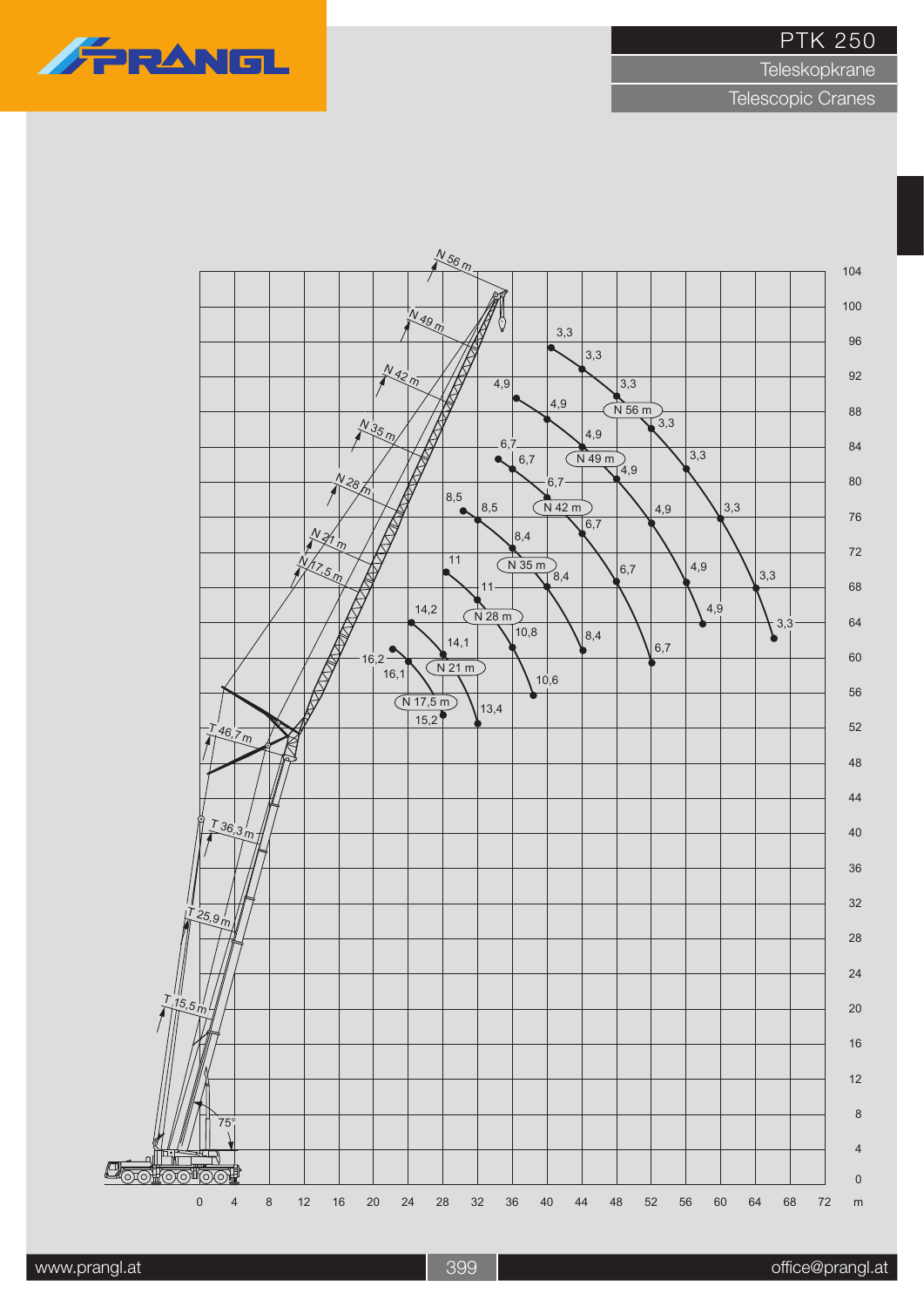

**Teleskopkrane** 

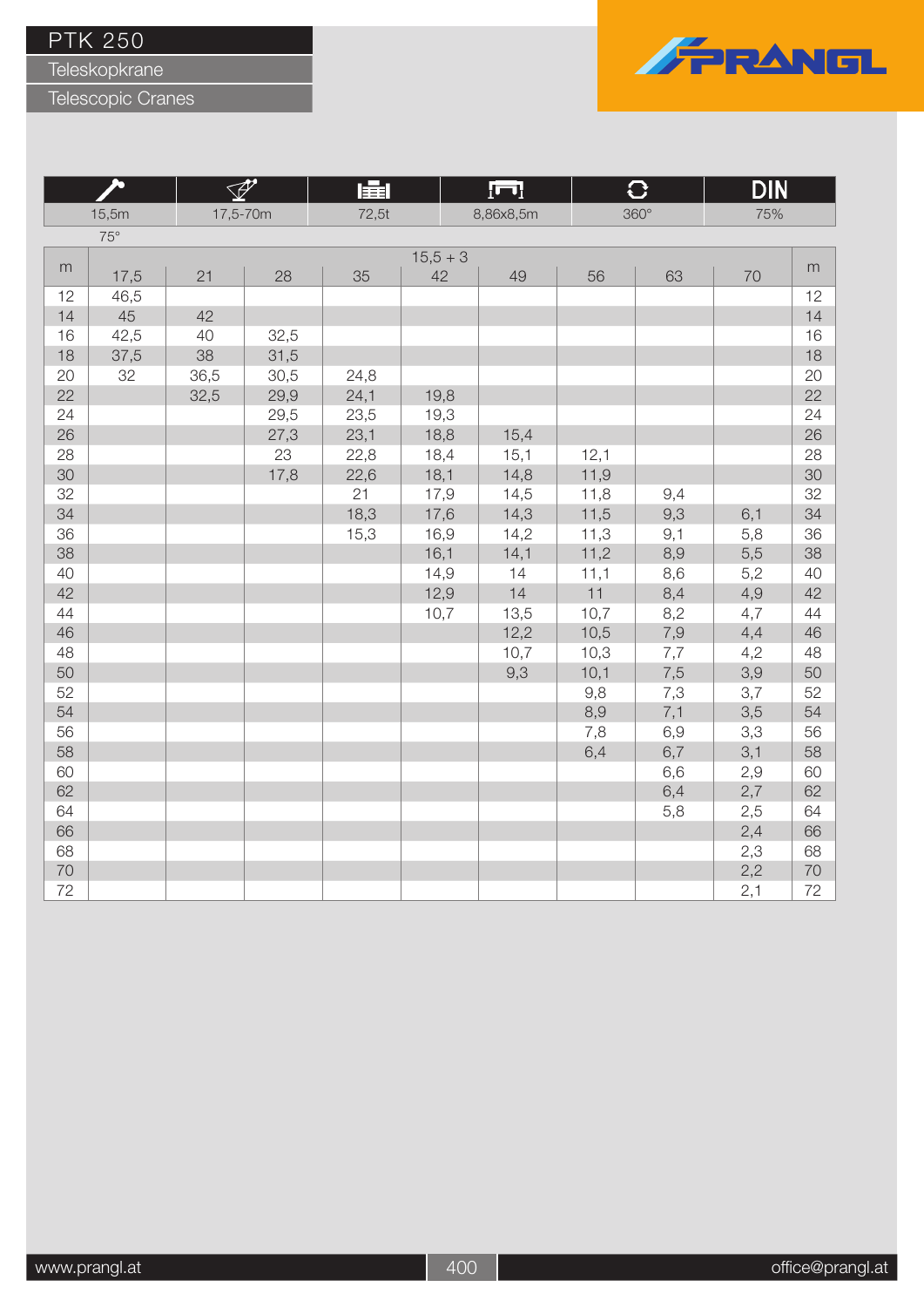Teleskopkrane

Telescopic Cranes



**Program** 

|    |              |          |      | 医目    |          | <u>[U]</u> |      | ₩           | <u>DIN</u> |           |
|----|--------------|----------|------|-------|----------|------------|------|-------------|------------|-----------|
|    | 15,5m        | 17,5-70m |      | 72,5t |          | 8,86x8,5m  |      | $360^\circ$ | 75%        |           |
|    | $75^{\circ}$ |          |      |       |          |            |      |             |            |           |
|    |              |          |      |       | $15,5+3$ |            |      |             |            |           |
| m  | 17,5         | 21       | 28   | 35    | 42       | 49         | 56   | 63          | 70         | ${\sf m}$ |
| 12 | 46,5         |          |      |       |          |            |      |             |            | 12        |
| 14 | 45           | 42       |      |       |          |            |      |             |            | 14        |
| 16 | 42,5         | 40       | 32,5 |       |          |            |      |             |            | 16        |
| 18 | 37,5         | 38       | 31,5 |       |          |            |      |             |            | 18        |
| 20 | 32           | 36,5     | 30,5 | 24,8  |          |            |      |             |            | 20        |
| 22 |              | 32,5     | 29,9 | 24,1  | 19,8     |            |      |             |            | 22        |
| 24 |              |          | 29,5 | 23,5  | 19,3     |            |      |             |            | 24        |
| 26 |              |          | 27,3 | 23,1  | 18,8     | 15,4       |      |             |            | 26        |
| 28 |              |          | 23   | 22,8  | 18,4     | 15,1       | 12,1 |             |            | 28        |
| 30 |              |          | 17,8 | 22,6  | 18,1     | 14,8       | 11,9 |             |            | 30        |
| 32 |              |          |      | 21    | 17,9     | 14,5       | 11,8 | 9,4         |            | 32        |
| 34 |              |          |      | 18,3  | 17,6     | 14,3       | 11,5 | 9,3         | 6,1        | 34        |
| 36 |              |          |      | 15,3  | 16,9     | 14,2       | 11,3 | 9,1         | 5,8        | 36        |
| 38 |              |          |      |       | 16,1     | 14,1       | 11,2 | 8,9         | 5,5        | 38        |
| 40 |              |          |      |       | 14,9     | 14         | 11,1 | 8,6         | 5,2        | 40        |
| 42 |              |          |      |       | 12,9     | 14         | 11   | 8,4         | 4,9        | 42        |
| 44 |              |          |      |       | 10,7     | 13,5       | 10,7 | 8,2         | 4,7        | 44        |
| 46 |              |          |      |       |          | 12,2       | 10,5 | 7,9         | 4,4        | 46        |
| 48 |              |          |      |       |          | 10,7       | 10,3 | 7,7         | 4,2        | 48        |
| 50 |              |          |      |       |          | 9,3        | 10,1 | 7,5         | 3,9        | 50        |
| 52 |              |          |      |       |          |            | 9,8  | 7,3         | 3,7        | 52        |
| 54 |              |          |      |       |          |            | 8,9  | 7,1         | 3,5        | 54        |
| 56 |              |          |      |       |          |            | 7,8  | 6,9         | 3,3        | 56        |
| 58 |              |          |      |       |          |            | 6,4  | 6,7         | 3,1        | 58        |
| 60 |              |          |      |       |          |            |      | 6,6         | 2,9        | 60        |
| 62 |              |          |      |       |          |            |      | 6,4         | 2,7        | 62        |
| 64 |              |          |      |       |          |            |      | 5,8         | 2,5        | 64        |
| 66 |              |          |      |       |          |            |      |             | 2,4        | 66        |
| 68 |              |          |      |       |          |            |      |             | 2,3        | 68        |
| 70 |              |          |      |       |          |            |      |             | 2,2        | 70        |
| 72 |              |          |      |       |          |            |      |             | 2,1        | 72        |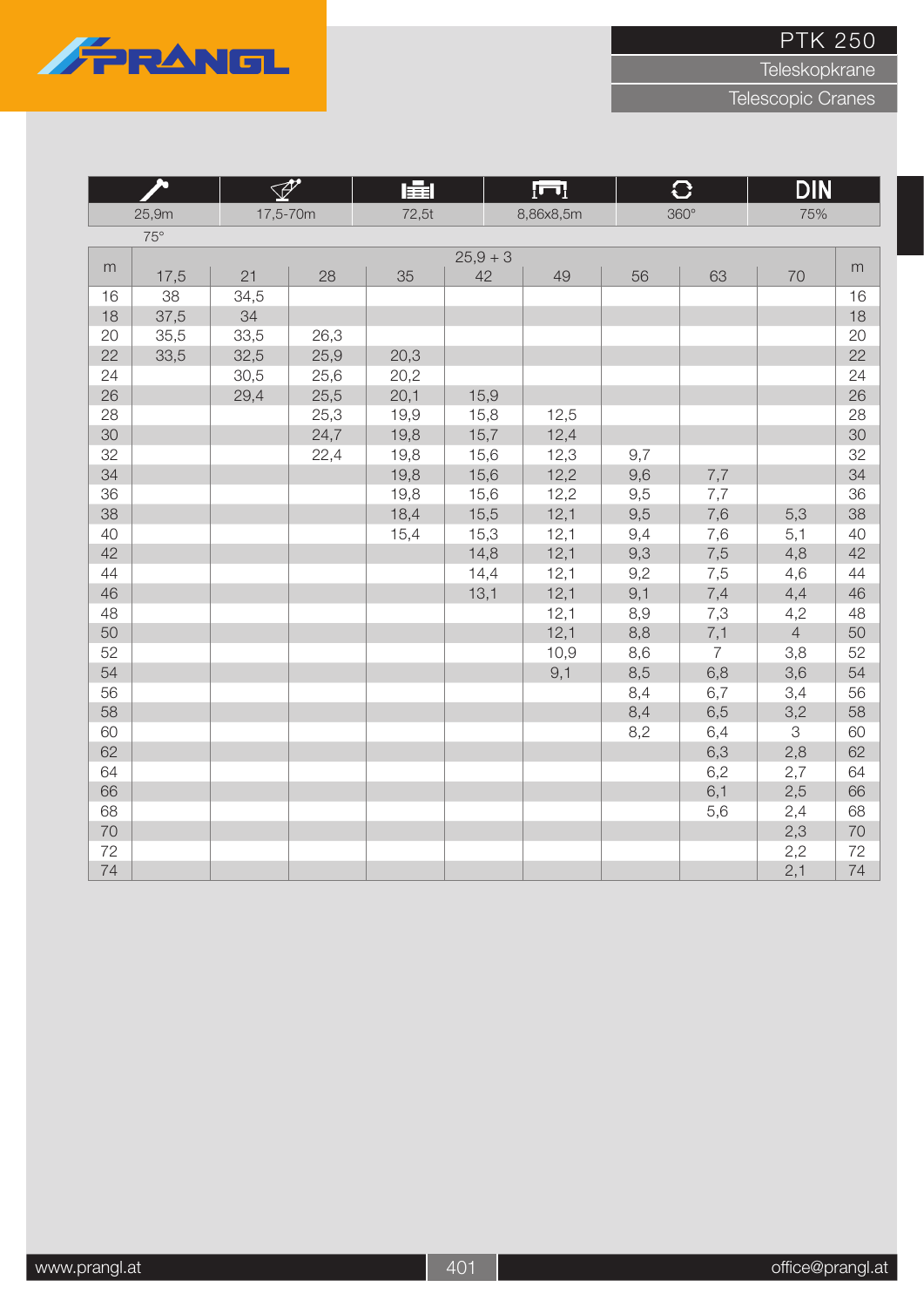

Teleskopkrane

|    | 20         | $\mathscr{P}$ |      | 肁     |          | $\overline{\mathbf{H}}$ |     | $\overline{C}$ | <b>DIN</b>     |    |
|----|------------|---------------|------|-------|----------|-------------------------|-----|----------------|----------------|----|
|    | 25,9m      | 17,5-70m      |      | 72,5t |          | 8,86x8,5m               |     | $360^\circ$    | 75%            |    |
|    | $75^\circ$ |               |      |       |          |                         |     |                |                |    |
|    |            |               |      |       | $25,9+3$ |                         |     |                |                |    |
| m  | 17,5       | 21            | 28   | 35    | 42       | 49                      | 56  | 63             | 70             | m  |
| 16 | 38         | 34,5          |      |       |          |                         |     |                |                | 16 |
| 18 | 37,5       | 34            |      |       |          |                         |     |                |                | 18 |
| 20 | 35,5       | 33,5          | 26,3 |       |          |                         |     |                |                | 20 |
| 22 | 33,5       | 32,5          | 25,9 | 20,3  |          |                         |     |                |                | 22 |
| 24 |            | 30,5          | 25,6 | 20,2  |          |                         |     |                |                | 24 |
| 26 |            | 29,4          | 25,5 | 20,1  | 15,9     |                         |     |                |                | 26 |
| 28 |            |               | 25,3 | 19,9  | 15,8     | 12,5                    |     |                |                | 28 |
| 30 |            |               | 24,7 | 19,8  | 15,7     | 12,4                    |     |                |                | 30 |
| 32 |            |               | 22,4 | 19,8  | 15,6     | 12,3                    | 9,7 |                |                | 32 |
| 34 |            |               |      | 19,8  | 15,6     | 12,2                    | 9,6 | 7,7            |                | 34 |
| 36 |            |               |      | 19,8  | 15,6     | 12,2                    | 9,5 | 7,7            |                | 36 |
| 38 |            |               |      | 18,4  | 15,5     | 12,1                    | 9,5 | 7,6            | 5,3            | 38 |
| 40 |            |               |      | 15,4  | 15,3     | 12,1                    | 9,4 | 7,6            | 5,1            | 40 |
| 42 |            |               |      |       | 14,8     | 12,1                    | 9,3 | 7,5            | 4,8            | 42 |
| 44 |            |               |      |       | 14,4     | 12,1                    | 9,2 | 7,5            | 4,6            | 44 |
| 46 |            |               |      |       | 13,1     | 12,1                    | 9,1 | 7,4            | 4,4            | 46 |
| 48 |            |               |      |       |          | 12,1                    | 8,9 | 7,3            | 4,2            | 48 |
| 50 |            |               |      |       |          | 12,1                    | 8,8 | 7,1            | $\overline{4}$ | 50 |
| 52 |            |               |      |       |          | 10,9                    | 8,6 | $\overline{7}$ | 3,8            | 52 |
| 54 |            |               |      |       |          | 9,1                     | 8,5 | 6,8            | 3,6            | 54 |
| 56 |            |               |      |       |          |                         | 8,4 | 6,7            | 3,4            | 56 |
| 58 |            |               |      |       |          |                         | 8,4 | 6,5            | 3,2            | 58 |
| 60 |            |               |      |       |          |                         | 8,2 | 6,4            | 3              | 60 |
| 62 |            |               |      |       |          |                         |     | 6,3            | 2,8            | 62 |
| 64 |            |               |      |       |          |                         |     | 6,2            | 2,7            | 64 |
| 66 |            |               |      |       |          |                         |     | 6,1            | 2,5            | 66 |
| 68 |            |               |      |       |          |                         |     | 5,6            | 2,4            | 68 |
| 70 |            |               |      |       |          |                         |     |                | 2,3            | 70 |
| 72 |            |               |      |       |          |                         |     |                | 2,2            | 72 |
| 74 |            |               |      |       |          |                         |     |                | 2,1            | 74 |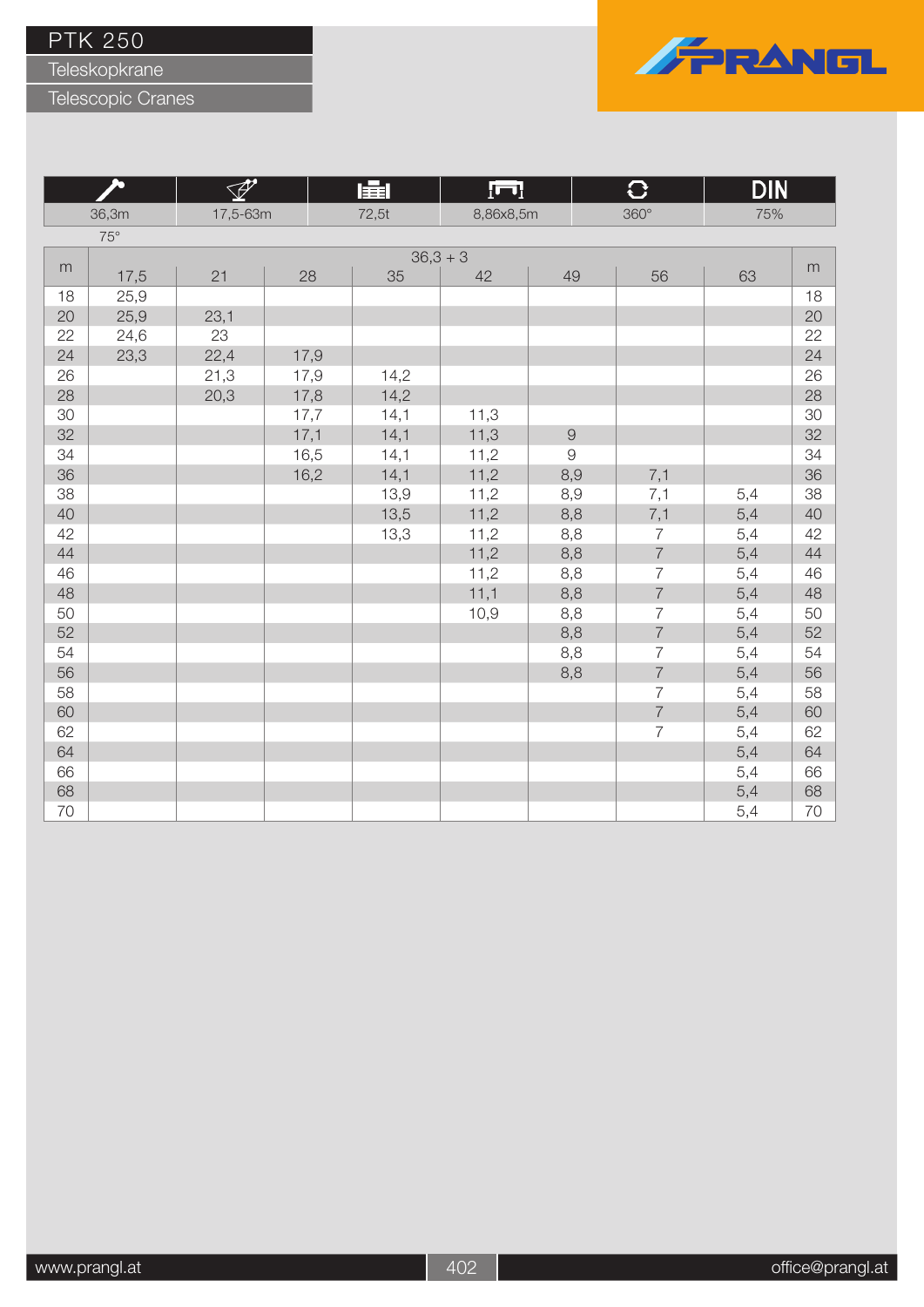Teleskopkrane

Telescopic Cranes



**Program** 

|       |            |          |      | 圍<br><u>[m]</u> |            |            | ₩              | <u>DIN</u> |           |
|-------|------------|----------|------|-----------------|------------|------------|----------------|------------|-----------|
| 36,3m |            | 17,5-63m |      | 72,5t           | 8,86x8,5m  |            | $360^\circ$    | 75%        |           |
|       | $75^\circ$ |          |      |                 |            |            |                |            |           |
|       |            |          |      |                 | $36,3 + 3$ |            |                |            |           |
| m     | 17,5       | 21       | 28   | 35              | 42         | 49         | 56             | 63         | ${\sf m}$ |
| 18    | 25,9       |          |      |                 |            |            |                |            | 18        |
| 20    | 25,9       | 23,1     |      |                 |            |            |                |            | 20        |
| 22    | 24,6       | 23       |      |                 |            |            |                |            | 22        |
| 24    | 23,3       | 22,4     | 17,9 |                 |            |            |                |            | 24        |
| 26    |            | 21,3     | 17,9 | 14,2            |            |            |                |            | 26        |
| 28    |            | 20,3     | 17,8 | 14,2            |            |            |                |            | 28        |
| 30    |            |          | 17,7 | 14,1            | 11,3       |            |                |            | 30        |
| 32    |            |          | 17,1 | 14,1            | 11,3       | $\hbox{9}$ |                |            | 32        |
| 34    |            |          | 16,5 | 14,1            | 11,2       | $\hbox{9}$ |                |            | 34        |
| 36    |            |          | 16,2 | 14,1            | 11,2       | 8,9        | 7,1            |            | 36        |
| 38    |            |          |      | 13,9            | 11,2       | 8,9        | 7,1            | 5,4        | 38        |
| 40    |            |          |      | 13,5            | 11,2       | 8,8        | 7,1            | 5,4        | 40        |
| 42    |            |          |      | 13,3            | 11,2       | 8,8        | $\overline{7}$ | 5,4        | 42        |
| 44    |            |          |      |                 | 11,2       | 8,8        | $\overline{7}$ | 5,4        | 44        |
| 46    |            |          |      |                 | 11,2       | 8,8        | $\overline{7}$ | 5,4        | 46        |
| 48    |            |          |      |                 | 11,1       | 8,8        | $\overline{7}$ | 5,4        | 48        |
| 50    |            |          |      |                 | 10,9       | 8,8        | $\overline{7}$ | 5,4        | 50        |
| 52    |            |          |      |                 |            | 8,8        | $\overline{7}$ | 5,4        | 52        |
| 54    |            |          |      |                 |            | 8,8        | $\overline{7}$ | 5,4        | 54        |
| 56    |            |          |      |                 |            | 8,8        | $\overline{7}$ | 5,4        | 56        |
| 58    |            |          |      |                 |            |            | $\overline{7}$ | 5,4        | 58        |
| 60    |            |          |      |                 |            |            | $\overline{7}$ | 5,4        | 60        |
| 62    |            |          |      |                 |            |            | $\overline{7}$ | 5,4        | 62        |
| 64    |            |          |      |                 |            |            |                | 5,4        | 64        |
| 66    |            |          |      |                 |            |            |                | 5,4        | 66        |
| 68    |            |          |      |                 |            |            |                | 5,4        | 68        |
| 70    |            |          |      |                 |            |            |                | 5,4        | 70        |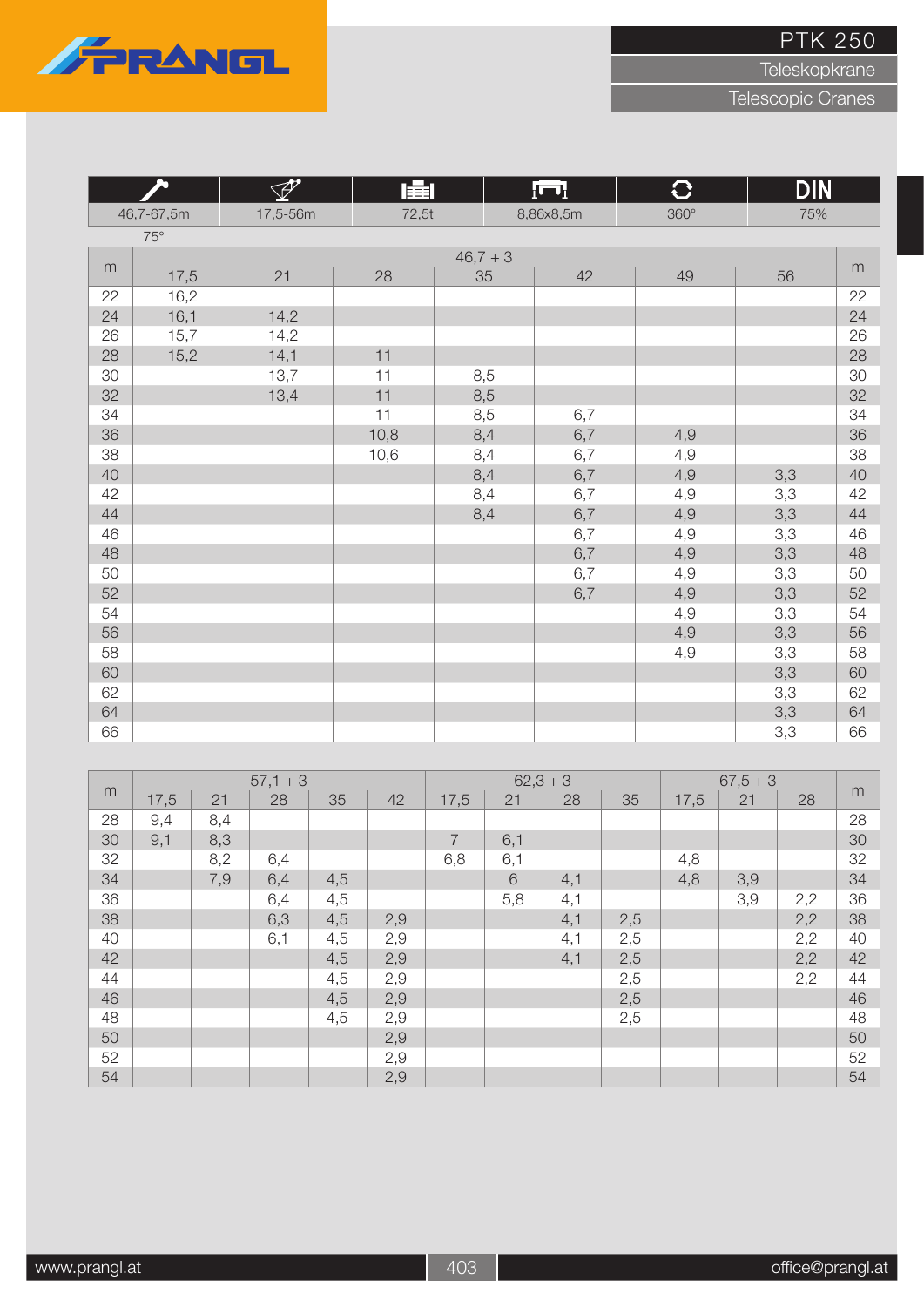

Teleskopkrane

|    | A          | P        | 盧     |          | ſП        | $\mathbf{C}$ | <b>DIN</b> |    |
|----|------------|----------|-------|----------|-----------|--------------|------------|----|
|    | 46,7-67,5m | 17,5-56m | 72,5t |          | 8,86x8,5m | $360^\circ$  | 75%        |    |
|    | $75^\circ$ |          |       |          |           |              |            |    |
|    |            |          |       | $46,7+3$ |           |              |            |    |
| m  | 17,5       | 21       | 28    | 35       | 42        | 49           | 56         | m  |
| 22 | 16,2       |          |       |          |           |              |            | 22 |
| 24 | 16,1       | 14,2     |       |          |           |              |            | 24 |
| 26 | 15,7       | 14,2     |       |          |           |              |            | 26 |
| 28 | 15,2       | 14,1     | 11    |          |           |              |            | 28 |
| 30 |            | 13,7     | 11    | 8,5      |           |              |            | 30 |
| 32 |            | 13,4     | 11    | 8,5      |           |              |            | 32 |
| 34 |            |          | 11    | 8,5      | 6,7       |              |            | 34 |
| 36 |            |          | 10,8  | 8,4      | 6,7       | 4,9          |            | 36 |
| 38 |            |          | 10,6  | 8,4      | 6,7       | 4,9          |            | 38 |
| 40 |            |          |       | 8,4      | 6,7       | 4,9          | 3,3        | 40 |
| 42 |            |          |       | 8,4      | 6,7       | 4,9          | 3,3        | 42 |
| 44 |            |          |       | 8,4      | 6,7       | 4,9          | 3,3        | 44 |
| 46 |            |          |       |          | 6,7       | 4,9          | 3,3        | 46 |
| 48 |            |          |       |          | 6,7       | 4,9          | 3,3        | 48 |
| 50 |            |          |       |          | 6,7       | 4,9          | 3,3        | 50 |
| 52 |            |          |       |          | 6,7       | 4,9          | 3,3        | 52 |
| 54 |            |          |       |          |           | 4,9          | 3,3        | 54 |
| 56 |            |          |       |          |           | 4,9          | 3,3        | 56 |
| 58 |            |          |       |          |           | 4,9          | 3,3        | 58 |
| 60 |            |          |       |          |           |              | 3,3        | 60 |
| 62 |            |          |       |          |           |              | 3,3        | 62 |
| 64 |            |          |       |          |           |              | 3,3        | 64 |
| 66 |            |          |       |          |           |              | 3,3        | 66 |

|    |      |     | $57,1 + 3$ |     |     |                | $62,3 + 3$ |     |     |      | $67,5+3$ |     |    |
|----|------|-----|------------|-----|-----|----------------|------------|-----|-----|------|----------|-----|----|
| m  | 17,5 | 21  | 28         | 35  | 42  | 17,5           | 21         | 28  | 35  | 17,5 | 21       | 28  | m  |
| 28 | 9,4  | 8,4 |            |     |     |                |            |     |     |      |          |     | 28 |
| 30 | 9,1  | 8,3 |            |     |     | $\overline{7}$ | 6,1        |     |     |      |          |     | 30 |
| 32 |      | 8,2 | 6,4        |     |     | 6,8            | 6,1        |     |     | 4,8  |          |     | 32 |
| 34 |      | 7,9 | 6,4        | 4,5 |     |                | 6          | 4,1 |     | 4,8  | 3,9      |     | 34 |
| 36 |      |     | 6,4        | 4,5 |     |                | 5,8        | 4,1 |     |      | 3,9      | 2,2 | 36 |
| 38 |      |     | 6,3        | 4,5 | 2,9 |                |            | 4,1 | 2,5 |      |          | 2,2 | 38 |
| 40 |      |     | 6,1        | 4,5 | 2,9 |                |            | 4,1 | 2,5 |      |          | 2,2 | 40 |
| 42 |      |     |            | 4,5 | 2,9 |                |            | 4,1 | 2,5 |      |          | 2,2 | 42 |
| 44 |      |     |            | 4,5 | 2,9 |                |            |     | 2,5 |      |          | 2,2 | 44 |
| 46 |      |     |            | 4,5 | 2,9 |                |            |     | 2,5 |      |          |     | 46 |
| 48 |      |     |            | 4,5 | 2,9 |                |            |     | 2,5 |      |          |     | 48 |
| 50 |      |     |            |     | 2,9 |                |            |     |     |      |          |     | 50 |
| 52 |      |     |            |     | 2,9 |                |            |     |     |      |          |     | 52 |
| 54 |      |     |            |     | 2,9 |                |            |     |     |      |          |     | 54 |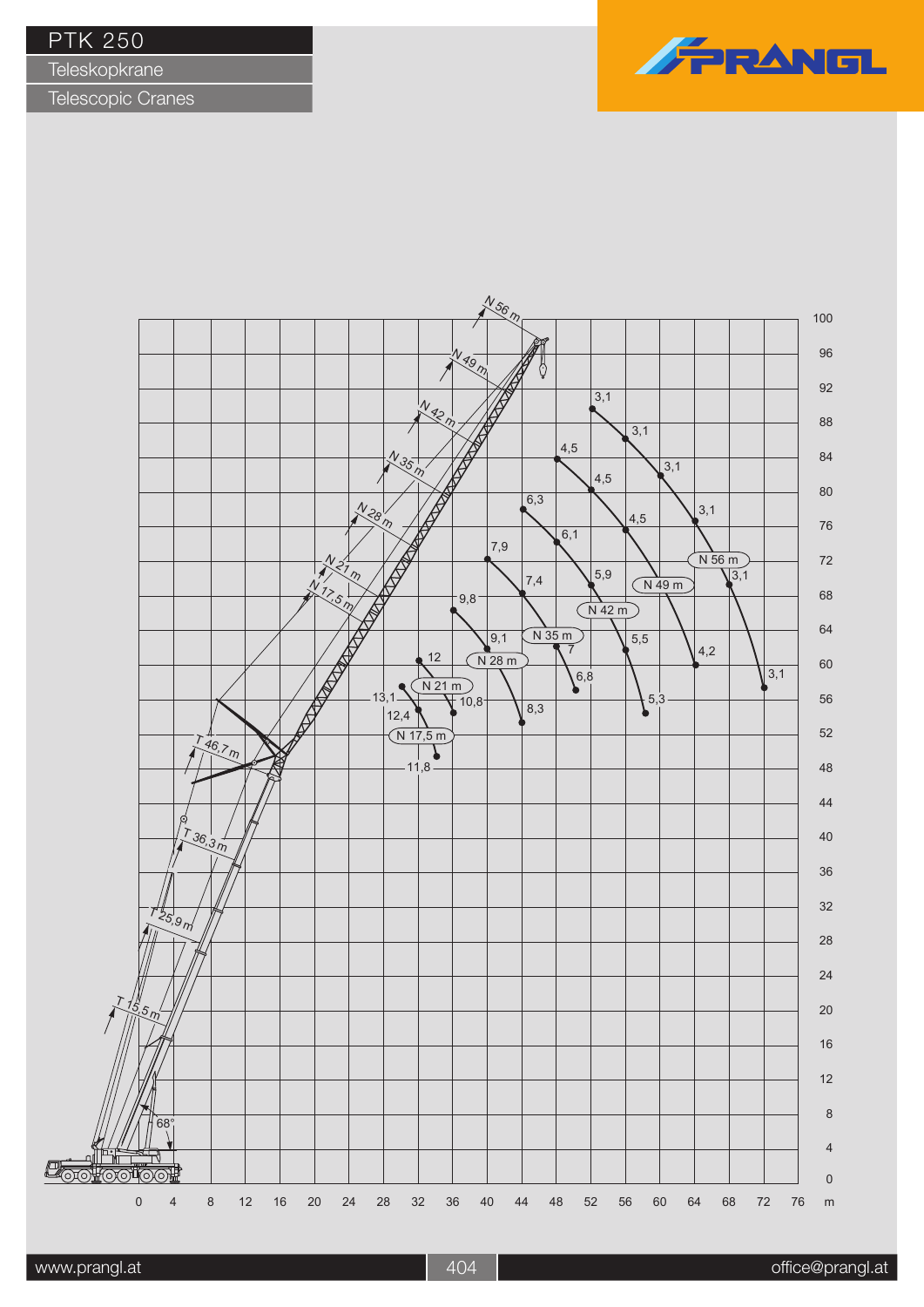**Teleskopkrane** 



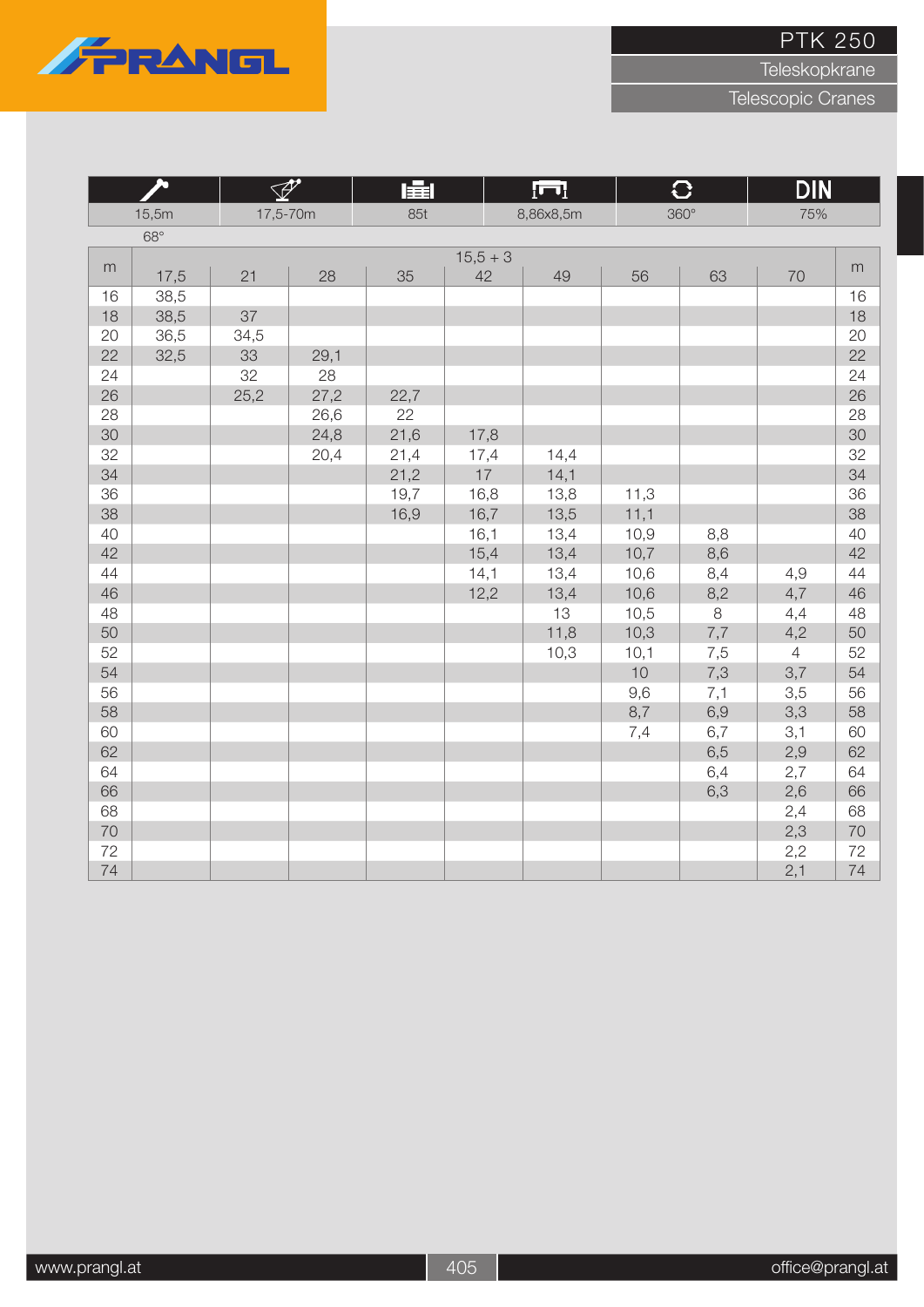

Teleskopkrane

|    | ௯          | $\mathscr{P}$ |      | 肁    |            | $\overline{\mathbf{H}}$ |      | $\overline{C}$ | <b>DIN</b>     |           |
|----|------------|---------------|------|------|------------|-------------------------|------|----------------|----------------|-----------|
|    | 15,5m      | 17,5-70m      |      | 85t  |            | 8,86x8,5m               |      | $360^\circ$    | 75%            |           |
|    | $68^\circ$ |               |      |      |            |                         |      |                |                |           |
|    |            |               |      |      | $15,5 + 3$ |                         |      |                |                |           |
| m  | 17,5       | 21            | 28   | 35   | 42         | 49                      | 56   | 63             | 70             | ${\sf m}$ |
| 16 | 38,5       |               |      |      |            |                         |      |                |                | 16        |
| 18 | 38,5       | 37            |      |      |            |                         |      |                |                | 18        |
| 20 | 36,5       | 34,5          |      |      |            |                         |      |                |                | 20        |
| 22 | 32,5       | 33            | 29,1 |      |            |                         |      |                |                | 22        |
| 24 |            | 32            | 28   |      |            |                         |      |                |                | 24        |
| 26 |            | 25,2          | 27,2 | 22,7 |            |                         |      |                |                | 26        |
| 28 |            |               | 26,6 | 22   |            |                         |      |                |                | 28        |
| 30 |            |               | 24,8 | 21,6 | 17,8       |                         |      |                |                | 30        |
| 32 |            |               | 20,4 | 21,4 | 17,4       | 14,4                    |      |                |                | 32        |
| 34 |            |               |      | 21,2 | $17$       | 14,1                    |      |                |                | 34        |
| 36 |            |               |      | 19,7 | 16,8       | 13,8                    | 11,3 |                |                | 36        |
| 38 |            |               |      | 16,9 | 16,7       | 13,5                    | 11,1 |                |                | 38        |
| 40 |            |               |      |      | 16,1       | 13,4                    | 10,9 | 8,8            |                | 40        |
| 42 |            |               |      |      | 15,4       | 13,4                    | 10,7 | 8,6            |                | 42        |
| 44 |            |               |      |      | 14,1       | 13,4                    | 10,6 | 8,4            | 4,9            | 44        |
| 46 |            |               |      |      | 12,2       | 13,4                    | 10,6 | 8,2            | 4,7            | 46        |
| 48 |            |               |      |      |            | 13                      | 10,5 | 8              | 4,4            | 48        |
| 50 |            |               |      |      |            | 11,8                    | 10,3 | 7,7            | 4,2            | 50        |
| 52 |            |               |      |      |            | 10,3                    | 10,1 | 7,5            | $\overline{4}$ | 52        |
| 54 |            |               |      |      |            |                         | 10   | 7,3            | 3,7            | 54        |
| 56 |            |               |      |      |            |                         | 9,6  | 7,1            | 3,5            | 56        |
| 58 |            |               |      |      |            |                         | 8,7  | 6,9            | 3,3            | 58        |
| 60 |            |               |      |      |            |                         | 7,4  | 6,7            | 3,1            | 60        |
| 62 |            |               |      |      |            |                         |      | 6,5            | 2,9            | 62        |
| 64 |            |               |      |      |            |                         |      | 6,4            | 2,7            | 64        |
| 66 |            |               |      |      |            |                         |      | 6,3            | 2,6            | 66        |
| 68 |            |               |      |      |            |                         |      |                | 2,4            | 68        |
| 70 |            |               |      |      |            |                         |      |                | 2,3            | 70        |
| 72 |            |               |      |      |            |                         |      |                | 2,2            | 72        |
| 74 |            |               |      |      |            |                         |      |                | 2,1            | 74        |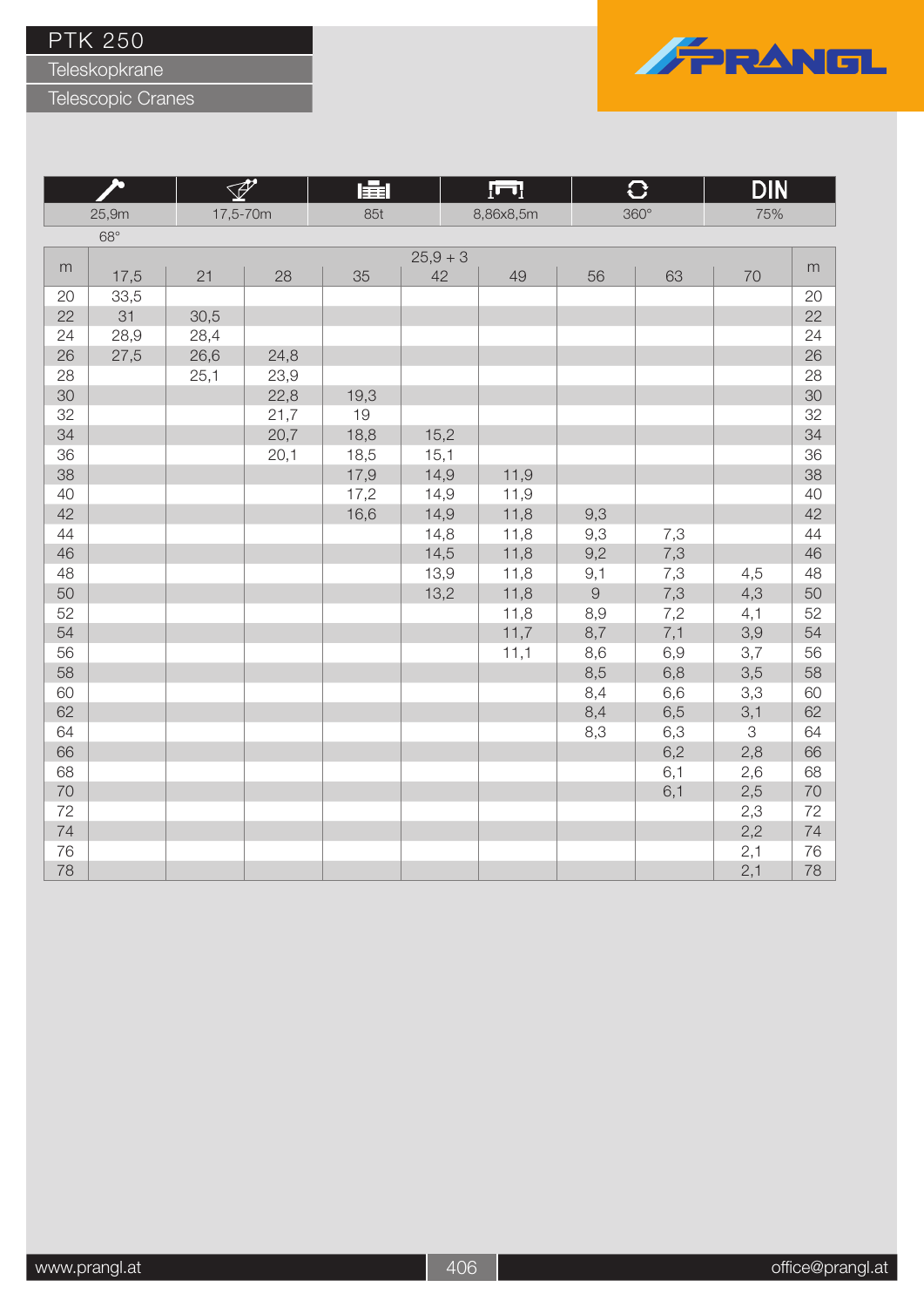Teleskopkrane

Telescopic Cranes



|    |            | $\mathscr{P}$ |      | 肁    |          | $\overline{\mathbf{L}}$ |            | $\overline{C}$ | <b>DIN</b> |        |
|----|------------|---------------|------|------|----------|-------------------------|------------|----------------|------------|--------|
|    | 25,9m      | 17,5-70m      |      | 85t  |          | 8,86x8,5m               |            | $360^\circ$    | 75%        |        |
|    | $68^\circ$ |               |      |      |          |                         |            |                |            |        |
|    |            |               |      |      | $25,9+3$ |                         |            |                |            |        |
| m  | 17,5       | 21            | 28   | 35   | 42       | 49                      | 56         | 63             | 70         | m      |
| 20 | 33,5       |               |      |      |          |                         |            |                |            | 20     |
| 22 | 31         | 30,5          |      |      |          |                         |            |                |            | 22     |
| 24 | 28,9       | 28,4          |      |      |          |                         |            |                |            | 24     |
| 26 | 27,5       | 26,6          | 24,8 |      |          |                         |            |                |            | 26     |
| 28 |            | 25,1          | 23,9 |      |          |                         |            |                |            | 28     |
| 30 |            |               | 22,8 | 19,3 |          |                         |            |                |            | 30     |
| 32 |            |               | 21,7 | 19   |          |                         |            |                |            | 32     |
| 34 |            |               | 20,7 | 18,8 | 15,2     |                         |            |                |            | 34     |
| 36 |            |               | 20,1 | 18,5 | 15,1     |                         |            |                |            | 36     |
| 38 |            |               |      | 17,9 | 14,9     | 11,9                    |            |                |            | 38     |
| 40 |            |               |      | 17,2 | 14,9     | 11,9                    |            |                |            | 40     |
| 42 |            |               |      | 16,6 | 14,9     | 11,8                    | 9,3        |                |            | 42     |
| 44 |            |               |      |      | 14,8     | 11,8                    | 9,3        | 7,3            |            | 44     |
| 46 |            |               |      |      | 14,5     | 11,8                    | 9,2        | 7,3            |            | 46     |
| 48 |            |               |      |      | 13,9     | 11,8                    | 9,1        | 7,3            | 4,5        | 48     |
| 50 |            |               |      |      | 13,2     | 11,8                    | $\hbox{9}$ | 7,3            | 4,3        | 50     |
| 52 |            |               |      |      |          | 11,8                    | 8,9        | 7,2            | 4,1        | 52     |
| 54 |            |               |      |      |          | 11,7                    | 8,7        | 7,1            | 3,9        | 54     |
| 56 |            |               |      |      |          | 11,1                    | 8,6        | 6,9            | 3,7        | 56     |
| 58 |            |               |      |      |          |                         | 8,5        | 6,8            | 3,5        | 58     |
| 60 |            |               |      |      |          |                         | 8,4        | 6,6            | 3,3        | 60     |
| 62 |            |               |      |      |          |                         | 8,4        | 6,5            | 3,1        | 62     |
| 64 |            |               |      |      |          |                         | 8,3        | 6,3            | 3          | 64     |
| 66 |            |               |      |      |          |                         |            | 6,2            | 2,8        | 66     |
| 68 |            |               |      |      |          |                         |            | 6,1            | 2,6        | 68     |
| 70 |            |               |      |      |          |                         |            | 6,1            | 2,5        | $70\,$ |
| 72 |            |               |      |      |          |                         |            |                | 2,3        | 72     |
| 74 |            |               |      |      |          |                         |            |                | 2,2        | 74     |
| 76 |            |               |      |      |          |                         |            |                | 2,1        | 76     |
| 78 |            |               |      |      |          |                         |            |                | 2,1        | 78     |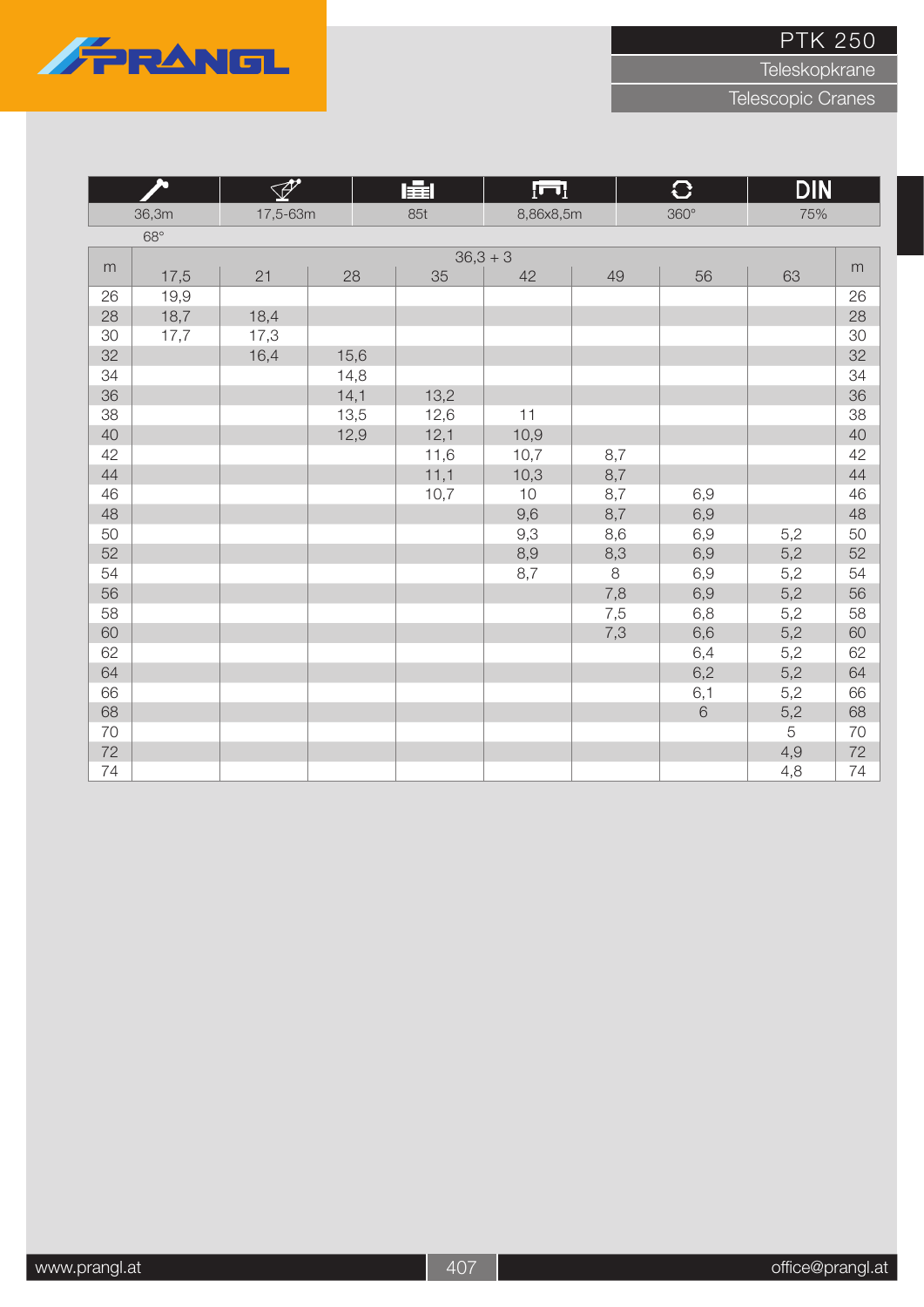

Teleskopkrane

| A  |            | $\overline{\mathscr{P}}$ |      | 肁    | $\overline{\mathbf{L}}$ |     | $\overline{C}$ | <b>DIN</b> |    |
|----|------------|--------------------------|------|------|-------------------------|-----|----------------|------------|----|
|    | 36,3m      | 17,5-63m                 |      | 85t  | 8,86x8,5m               |     | $360^\circ$    | 75%        |    |
|    | $68^\circ$ |                          |      |      |                         |     |                |            |    |
|    |            |                          |      |      | $36,3 + 3$              |     |                |            |    |
| m  | 17,5       | 21                       | 28   | 35   | 42                      | 49  | 56             | 63         | m  |
| 26 | 19,9       |                          |      |      |                         |     |                |            | 26 |
| 28 | 18,7       | 18,4                     |      |      |                         |     |                |            | 28 |
| 30 | 17,7       | 17,3                     |      |      |                         |     |                |            | 30 |
| 32 |            | 16,4                     | 15,6 |      |                         |     |                |            | 32 |
| 34 |            |                          | 14,8 |      |                         |     |                |            | 34 |
| 36 |            |                          | 14,1 | 13,2 |                         |     |                |            | 36 |
| 38 |            |                          | 13,5 | 12,6 | 11                      |     |                |            | 38 |
| 40 |            |                          | 12,9 | 12,1 | 10,9                    |     |                |            | 40 |
| 42 |            |                          |      | 11,6 | 10,7                    | 8,7 |                |            | 42 |
| 44 |            |                          |      | 11,1 | 10,3                    | 8,7 |                |            | 44 |
| 46 |            |                          |      | 10,7 | 10                      | 8,7 | 6,9            |            | 46 |
| 48 |            |                          |      |      | 9,6                     | 8,7 | 6,9            |            | 48 |
| 50 |            |                          |      |      | 9,3                     | 8,6 | 6,9            | 5,2        | 50 |
| 52 |            |                          |      |      | 8,9                     | 8,3 | 6,9            | 5,2        | 52 |
| 54 |            |                          |      |      | 8,7                     | 8   | 6,9            | 5,2        | 54 |
| 56 |            |                          |      |      |                         | 7,8 | 6,9            | 5,2        | 56 |
| 58 |            |                          |      |      |                         | 7,5 | 6,8            | 5,2        | 58 |
| 60 |            |                          |      |      |                         | 7,3 | 6,6            | 5,2        | 60 |
| 62 |            |                          |      |      |                         |     | 6,4            | 5,2        | 62 |
| 64 |            |                          |      |      |                         |     | 6,2            | 5,2        | 64 |
| 66 |            |                          |      |      |                         |     | 6,1            | 5,2        | 66 |
| 68 |            |                          |      |      |                         |     | 6              | 5,2        | 68 |
| 70 |            |                          |      |      |                         |     |                | $\sqrt{5}$ | 70 |
| 72 |            |                          |      |      |                         |     |                | 4,9        | 72 |
| 74 |            |                          |      |      |                         |     |                | 4,8        | 74 |